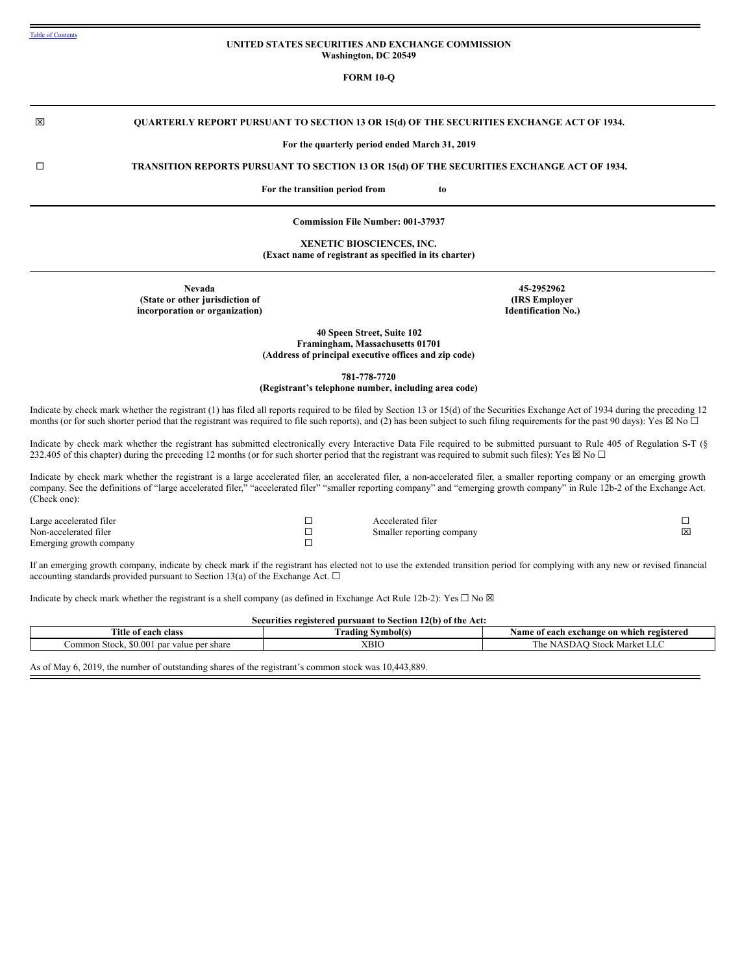### **UNITED STATES SECURITIES AND EXCHANGE COMMISSION Washington, DC 20549**

### **FORM 10-Q**

# x **QUARTERLY REPORT PURSUANT TO SECTION 13 OR 15(d) OF THE SECURITIES EXCHANGE ACT OF 1934.**

#### **For the quarterly period ended March 31, 2019**

¨ **TRANSITION REPORTS PURSUANT TO SECTION 13 OR 15(d) OF THE SECURITIES EXCHANGE ACT OF 1934.**

**For the transition period from to**

**Commission File Number: 001-37937**

# **XENETIC BIOSCIENCES, INC.**

**(Exact name of registrant as specified in its charter)**

**Nevada (State or other jurisdiction of incorporation or organization)**

**45-2952962 (IRS Employer Identification No.)**

**40 Speen Street, Suite 102 Framingham, Massachusetts 01701 (Address of principal executive offices and zip code)**

**781-778-7720**

**(Registrant's telephone number, including area code)**

Indicate by check mark whether the registrant (1) has filed all reports required to be filed by Section 13 or 15(d) of the Securities Exchange Act of 1934 during the preceding 12 months (or for such shorter period that the registrant was required to file such reports), and (2) has been subject to such filing requirements for the past 90 days): Yes  $\boxtimes$  No  $\Box$ 

Indicate by check mark whether the registrant has submitted electronically every Interactive Data File required to be submitted pursuant to Rule 405 of Regulation S-T (§ 232.405 of this chapter) during the preceding 12 months (or for such shorter period that the registrant was required to submit such files): Yes  $\boxtimes$  No  $\Box$ 

Indicate by check mark whether the registrant is a large accelerated filer, an accelerated filer, a non-accelerated filer, a smaller reporting company or an emerging growth company. See the definitions of "large accelerated filer," "accelerated filer" "smaller reporting company" and "emerging growth company" in Rule 12b-2 of the Exchange Act. (Check one):

| Large accelerated filer | Accelerated filer         |   |
|-------------------------|---------------------------|---|
| Non-accelerated filer   | Smaller reporting company | ⊠ |
| Emerging growth company |                           |   |

If an emerging growth company, indicate by check mark if the registrant has elected not to use the extended transition period for complying with any new or revised financial accounting standards provided pursuant to Section 13(a) of the Exchange Act.  $\Box$ 

Indicate by check mark whether the registrant is a shell company (as defined in Exchange Act Rule 12b-2): Yes  $\Box$  No  $\boxtimes$ 

| Name of each exchange on which registered |
|-------------------------------------------|
| Market LLC<br>Stock                       |
|                                           |

As of May 6, 2019, the number of outstanding shares of the registrant's common stock was 10,443,889.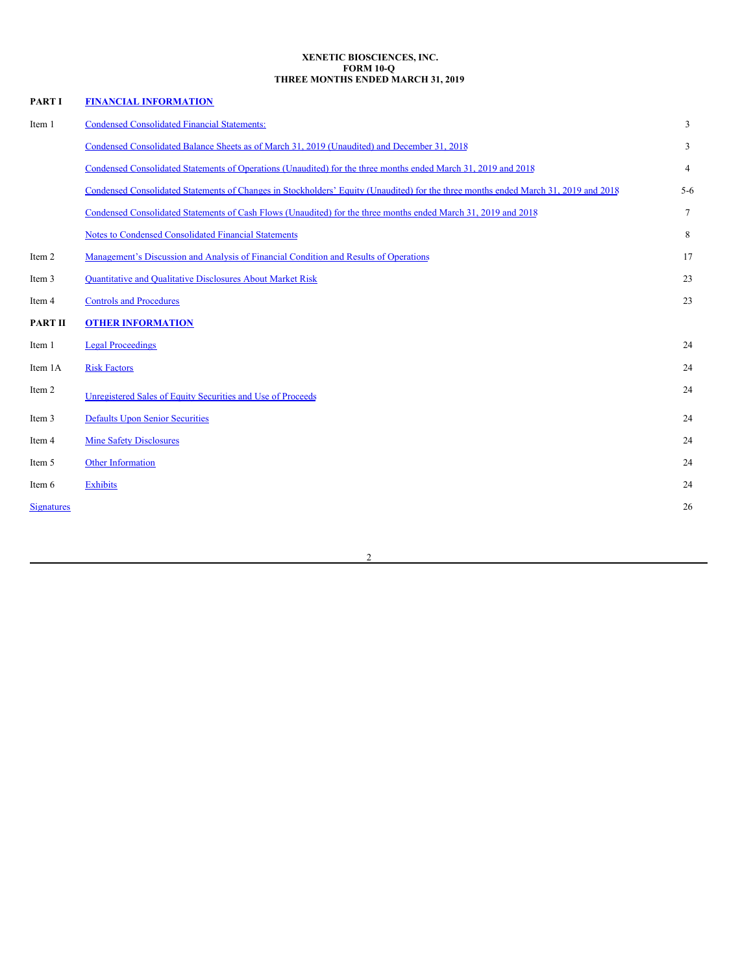# <span id="page-1-0"></span>**XENETIC BIOSCIENCES, INC. FORM 10-Q THREE MONTHS ENDED MARCH 31, 2019**

| <b>PART I</b>     | <b>FINANCIAL INFORMATION</b>                                                                                                        |                 |
|-------------------|-------------------------------------------------------------------------------------------------------------------------------------|-----------------|
| Item 1            | <b>Condensed Consolidated Financial Statements:</b>                                                                                 | 3               |
|                   | Condensed Consolidated Balance Sheets as of March 31, 2019 (Unaudited) and December 31, 2018                                        | 3               |
|                   | Condensed Consolidated Statements of Operations (Unaudited) for the three months ended March 31, 2019 and 2018                      | 4               |
|                   | Condensed Consolidated Statements of Changes in Stockholders' Equity (Unaudited) for the three months ended March 31, 2019 and 2018 | $5 - 6$         |
|                   | Condensed Consolidated Statements of Cash Flows (Unaudited) for the three months ended March 31, 2019 and 2018                      | $7\phantom{.0}$ |
|                   | Notes to Condensed Consolidated Financial Statements                                                                                | 8               |
| Item 2            | Management's Discussion and Analysis of Financial Condition and Results of Operations                                               | 17              |
| Item 3            | Quantitative and Qualitative Disclosures About Market Risk                                                                          | 23              |
| Item 4            | <b>Controls and Procedures</b>                                                                                                      | 23              |
| <b>PART II</b>    | <b>OTHER INFORMATION</b>                                                                                                            |                 |
| Item 1            | <b>Legal Proceedings</b>                                                                                                            | 24              |
| Item 1A           | <b>Risk Factors</b>                                                                                                                 | 24              |
| Item 2            | Unregistered Sales of Equity Securities and Use of Proceeds                                                                         | 24              |
| Item 3            | <b>Defaults Upon Senior Securities</b>                                                                                              | 24              |
| Item 4            | <b>Mine Safety Disclosures</b>                                                                                                      | 24              |
| Item 5            | <b>Other Information</b>                                                                                                            | 24              |
| Item 6            | <b>Exhibits</b>                                                                                                                     | 24              |
| <b>Signatures</b> |                                                                                                                                     | 26              |
|                   |                                                                                                                                     |                 |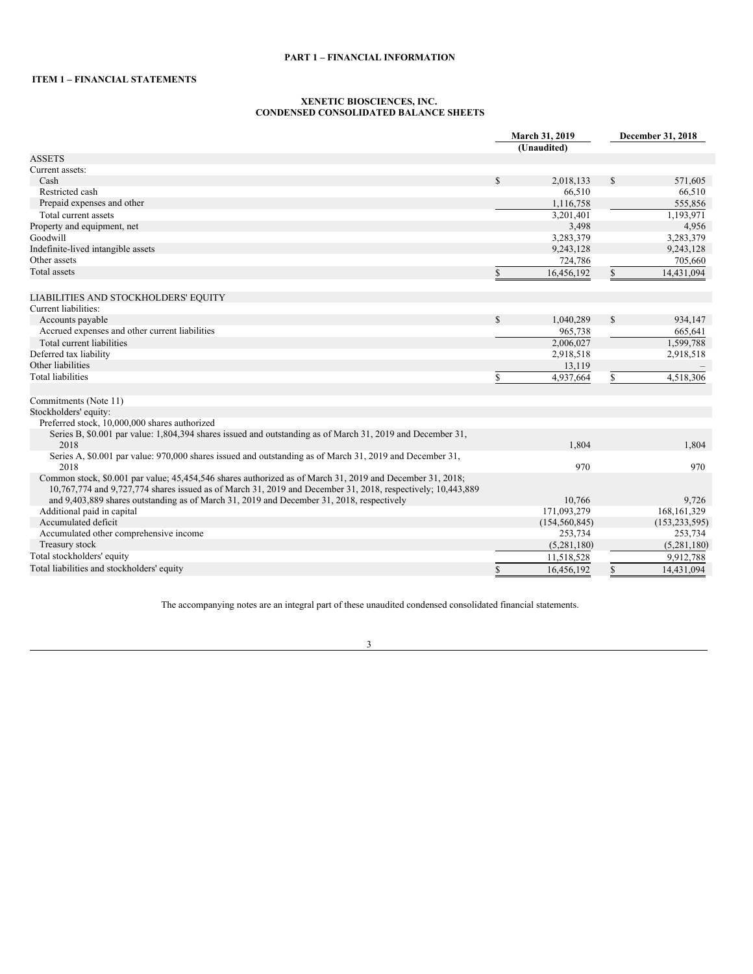# <span id="page-2-1"></span>**ITEM 1 – FINANCIAL STATEMENTS**

### <span id="page-2-2"></span><span id="page-2-0"></span>**XENETIC BIOSCIENCES, INC. CONDENSED CONSOLIDATED BALANCE SHEETS**

|                                                                                                                                                                                                                          |              | March 31, 2019<br>(Unaudited) |               | December 31, 2018    |
|--------------------------------------------------------------------------------------------------------------------------------------------------------------------------------------------------------------------------|--------------|-------------------------------|---------------|----------------------|
| <b>ASSETS</b>                                                                                                                                                                                                            |              |                               |               |                      |
| Current assets:                                                                                                                                                                                                          |              |                               |               |                      |
| Cash                                                                                                                                                                                                                     | $\mathbb{S}$ | 2,018,133                     | <sup>\$</sup> | 571,605              |
| Restricted cash                                                                                                                                                                                                          |              | 66,510                        |               | 66,510               |
| Prepaid expenses and other                                                                                                                                                                                               |              | 1,116,758                     |               | 555,856              |
| Total current assets                                                                                                                                                                                                     |              | 3,201,401                     |               | 1,193,971            |
| Property and equipment, net                                                                                                                                                                                              |              | 3,498                         |               | 4,956                |
| Goodwill                                                                                                                                                                                                                 |              | 3,283,379                     |               | 3,283,379            |
| Indefinite-lived intangible assets                                                                                                                                                                                       |              | 9,243,128                     |               | 9,243,128            |
| Other assets                                                                                                                                                                                                             |              | 724,786                       |               | 705,660              |
| <b>Total assets</b>                                                                                                                                                                                                      | \$           | 16,456,192                    | \$            | 14,431,094           |
|                                                                                                                                                                                                                          |              |                               |               |                      |
| LIABILITIES AND STOCKHOLDERS' EQUITY<br>Current liabilities:                                                                                                                                                             |              |                               |               |                      |
| Accounts payable                                                                                                                                                                                                         | $\mathbb{S}$ | 1,040,289                     | \$            | 934,147              |
| Accrued expenses and other current liabilities                                                                                                                                                                           |              |                               |               |                      |
| Total current liabilities                                                                                                                                                                                                |              | 965,738                       |               | 665,641<br>1,599,788 |
|                                                                                                                                                                                                                          |              | 2,006,027                     |               |                      |
| Deferred tax liability                                                                                                                                                                                                   |              | 2,918,518                     |               | 2,918,518            |
| Other liabilities                                                                                                                                                                                                        |              | 13,119                        |               |                      |
| <b>Total liabilities</b>                                                                                                                                                                                                 | \$           | 4,937,664                     | S             | 4,518,306            |
| Commitments (Note 11)                                                                                                                                                                                                    |              |                               |               |                      |
| Stockholders' equity:                                                                                                                                                                                                    |              |                               |               |                      |
| Preferred stock, 10,000,000 shares authorized                                                                                                                                                                            |              |                               |               |                      |
| Series B, \$0.001 par value: 1,804,394 shares issued and outstanding as of March 31, 2019 and December 31,<br>2018                                                                                                       |              | 1,804                         |               | 1,804                |
| Series A, \$0.001 par value: 970,000 shares issued and outstanding as of March 31, 2019 and December 31,                                                                                                                 |              |                               |               |                      |
| 2018                                                                                                                                                                                                                     |              | 970                           |               | 970                  |
| Common stock, \$0.001 par value; 45,454,546 shares authorized as of March 31, 2019 and December 31, 2018;<br>10,767,774 and 9,727,774 shares issued as of March 31, 2019 and December 31, 2018, respectively; 10,443,889 |              |                               |               |                      |
| and 9,403,889 shares outstanding as of March 31, 2019 and December 31, 2018, respectively                                                                                                                                |              | 10,766                        |               | 9,726                |
| Additional paid in capital                                                                                                                                                                                               |              | 171,093,279                   |               | 168, 161, 329        |
| Accumulated deficit                                                                                                                                                                                                      |              | (154, 560, 845)               |               | (153, 233, 595)      |
| Accumulated other comprehensive income                                                                                                                                                                                   |              | 253,734                       |               | 253,734              |
| Treasury stock                                                                                                                                                                                                           |              | (5,281,180)                   |               | (5,281,180)          |
| Total stockholders' equity                                                                                                                                                                                               |              | 11,518,528                    |               | 9,912,788            |
| Total liabilities and stockholders' equity                                                                                                                                                                               | \$           | 16,456,192                    | \$            | 14,431,094           |

The accompanying notes are an integral part of these unaudited condensed consolidated financial statements.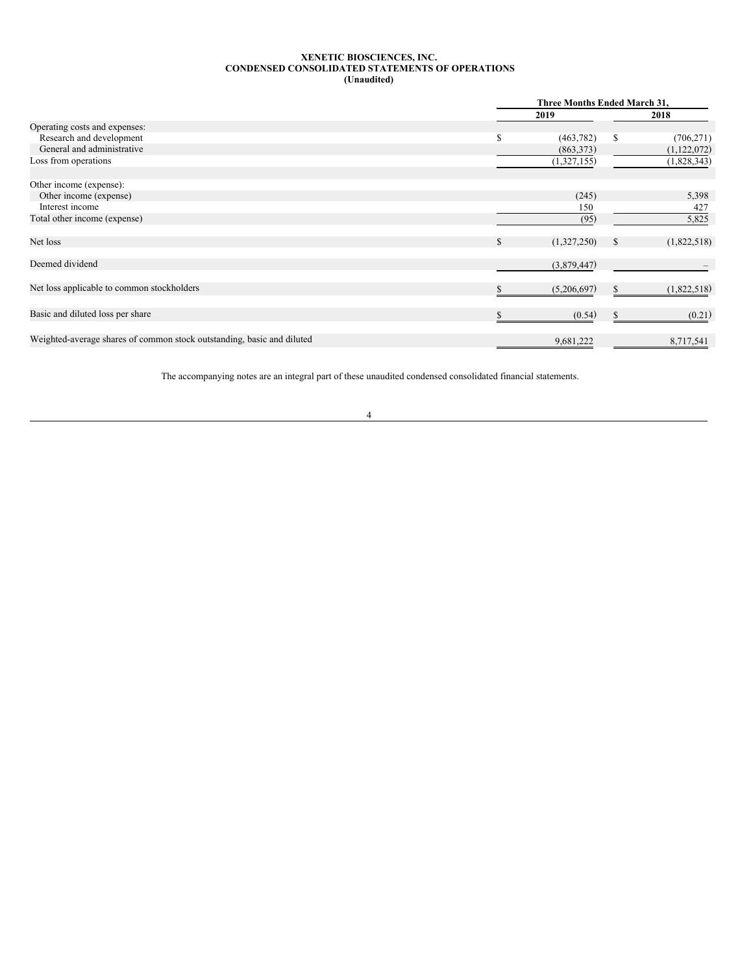### <span id="page-3-0"></span>**XENETIC BIOSCIENCES, INC. CONDENSED CONSOLIDATED STATEMENTS OF OPERATIONS (Unaudited)**

|                                                                        | Three Months Ended March 31. |      |             |  |  |
|------------------------------------------------------------------------|------------------------------|------|-------------|--|--|
|                                                                        | 2019                         | 2018 |             |  |  |
| Operating costs and expenses:                                          |                              |      |             |  |  |
| Research and development                                               | \$<br>(463, 782)             | \$   | (706, 271)  |  |  |
| General and administrative                                             | (863,373)                    |      | (1,122,072) |  |  |
| Loss from operations                                                   | (1,327,155)                  |      | (1,828,343) |  |  |
| Other income (expense):                                                |                              |      |             |  |  |
| Other income (expense)                                                 | (245)                        |      | 5,398       |  |  |
| Interest income                                                        | 150                          |      | 427         |  |  |
| Total other income (expense)                                           | (95)                         |      | 5,825       |  |  |
| Net loss                                                               | \$<br>(1,327,250)            | \$   | (1,822,518) |  |  |
| Deemed dividend                                                        | (3,879,447)                  |      |             |  |  |
| Net loss applicable to common stockholders                             | (5,206,697)                  | \$   | (1,822,518) |  |  |
| Basic and diluted loss per share                                       | (0.54)                       | \$   | (0.21)      |  |  |
| Weighted-average shares of common stock outstanding, basic and diluted | 9,681,222                    |      | 8,717,541   |  |  |

The accompanying notes are an integral part of these unaudited condensed consolidated financial statements.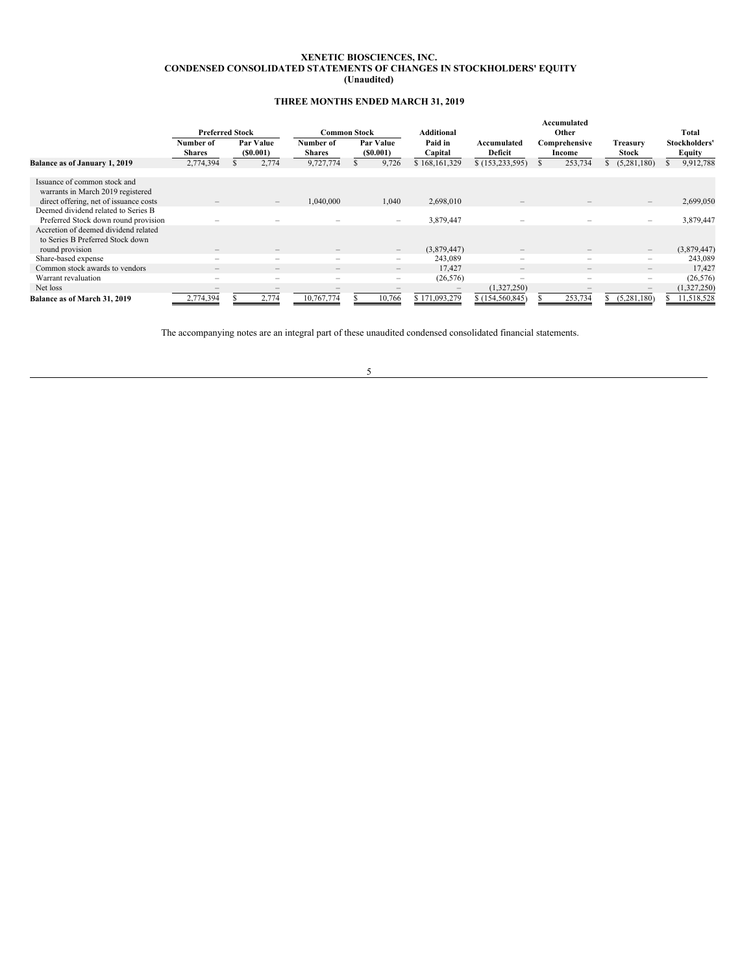### <span id="page-4-0"></span>**XENETIC BIOSCIENCES, INC. CONDENSED CONSOLIDATED STATEMENTS OF CHANGES IN STOCKHOLDERS' EQUITY (Unaudited)**

# **THREE MONTHS ENDED MARCH 31, 2019**

|                                                                                                             | <b>Preferred Stock</b>     |                                           |                                                                           | <b>Common Stock</b>                                  | Additional         |                               | Accumulated<br>Other                                                                                                                                                                                                                                                                                                                                         |                          | Total                   |
|-------------------------------------------------------------------------------------------------------------|----------------------------|-------------------------------------------|---------------------------------------------------------------------------|------------------------------------------------------|--------------------|-------------------------------|--------------------------------------------------------------------------------------------------------------------------------------------------------------------------------------------------------------------------------------------------------------------------------------------------------------------------------------------------------------|--------------------------|-------------------------|
|                                                                                                             | Number of<br><b>Shares</b> | Par Value<br>(S0.001)                     | Number of<br><b>Shares</b>                                                | Par Value<br>(S0.001)                                | Paid in<br>Capital | Accumulated<br><b>Deficit</b> | Comprehensive<br>Income                                                                                                                                                                                                                                                                                                                                      | Treasurv<br>Stock        | Stockholders'<br>Equity |
| Balance as of January 1, 2019                                                                               | 2,774,394                  | 2,774                                     | 9,727,774                                                                 | 9,726                                                | \$168,161,329      | \$(153, 233, 595)             | 253,734                                                                                                                                                                                                                                                                                                                                                      | (5,281,180)              | 9,912,788               |
| Issuance of common stock and<br>warrants in March 2019 registered<br>direct offering, net of issuance costs | $\qquad \qquad -$          | $\qquad \qquad \overline{\qquad \qquad }$ | 1.040.000                                                                 | 1,040                                                | 2,698,010          |                               |                                                                                                                                                                                                                                                                                                                                                              | $\qquad \qquad -$        | 2,699,050               |
| Deemed dividend related to Series B<br>Preferred Stock down round provision                                 | -                          |                                           |                                                                           | $\overline{\phantom{a}}$                             | 3,879,447          | -                             |                                                                                                                                                                                                                                                                                                                                                              | $\qquad \qquad -$        | 3,879,447               |
| Accretion of deemed dividend related<br>to Series B Preferred Stock down<br>round provision                 | $\qquad \qquad -$          |                                           |                                                                           |                                                      | (3,879,447)        | $\overline{\phantom{a}}$      |                                                                                                                                                                                                                                                                                                                                                              | $\qquad \qquad -$        | (3,879,447)             |
| Share-based expense                                                                                         | $\overline{\phantom{a}}$   | $\overline{\phantom{0}}$                  | $\overline{\phantom{0}}$                                                  | $\hspace{0.1mm}-\hspace{0.1mm}$<br>$\qquad \qquad -$ | 243,089            | ۰                             | $\hspace{1.0cm} \rule{1.5cm}{0.15cm} \hspace{1.0cm} \rule{1.5cm}{0.15cm}$                                                                                                                                                                                                                                                                                    | $\overline{\phantom{0}}$ | 243,089                 |
| Common stock awards to vendors                                                                              | $\qquad \qquad -$          | $\qquad \qquad \blacksquare$              | $\qquad \qquad -$                                                         | $\overline{\phantom{0}}$                             | 17.427             | $\qquad \qquad -$             | $\qquad \qquad \overline{\qquad \qquad }$                                                                                                                                                                                                                                                                                                                    | $\qquad \qquad -$        | 17,427                  |
| Warrant revaluation                                                                                         | $\overline{\phantom{a}}$   | $\overline{\phantom{0}}$                  | $\hspace{1.0cm} \rule{1.5cm}{0.15cm} \hspace{1.0cm} \rule{1.5cm}{0.15cm}$ | $\qquad \qquad -$                                    | (26, 576)          | -                             | $\hspace{1.0cm} \rule{1.5cm}{0.15cm} \hspace{1.0cm} \rule{1.5cm}{0.15cm} \hspace{1.0cm} \rule{1.5cm}{0.15cm} \hspace{1.0cm} \rule{1.5cm}{0.15cm} \hspace{1.0cm} \rule{1.5cm}{0.15cm} \hspace{1.0cm} \rule{1.5cm}{0.15cm} \hspace{1.0cm} \rule{1.5cm}{0.15cm} \hspace{1.0cm} \rule{1.5cm}{0.15cm} \hspace{1.0cm} \rule{1.5cm}{0.15cm} \hspace{1.0cm} \rule{1$ | $\qquad \qquad -$        | (26, 576)               |
| Net loss                                                                                                    | $\overline{\phantom{a}}$   |                                           |                                                                           |                                                      |                    | (1,327,250)                   |                                                                                                                                                                                                                                                                                                                                                              |                          | (1,327,250)             |
| Balance as of March 31, 2019                                                                                | 2,774,394                  | 2,774                                     | 10,767,774                                                                | 10.766                                               | \$171,093,279      | \$(154,560,845)               | 253,734                                                                                                                                                                                                                                                                                                                                                      | (5,281,180)              | 11,518,528              |

The accompanying notes are an integral part of these unaudited condensed consolidated financial statements.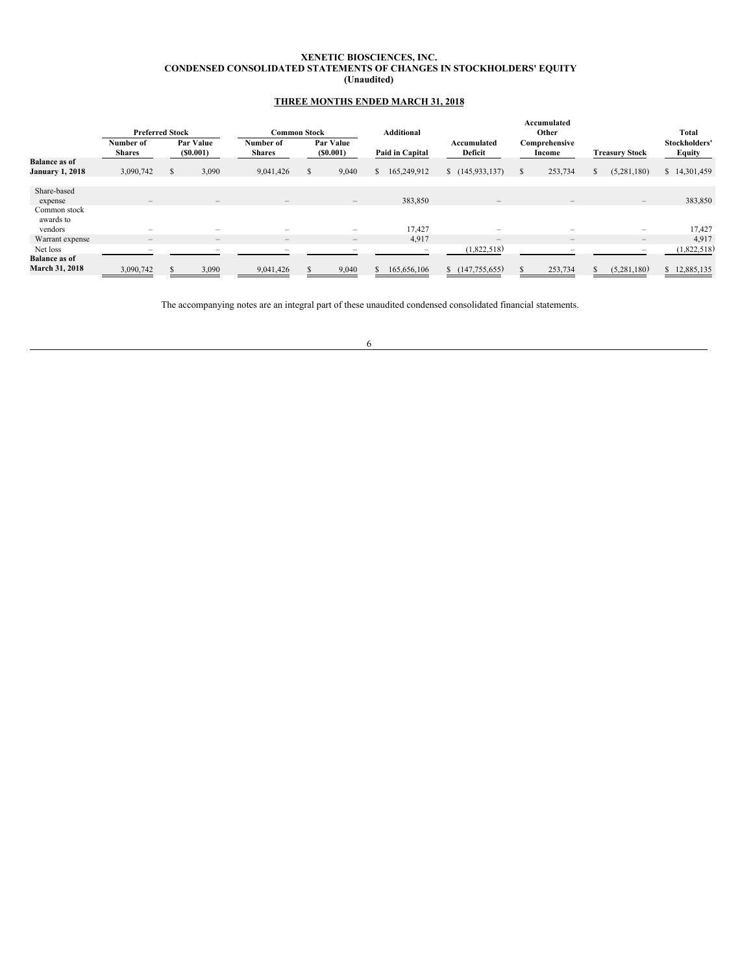# **XENETIC BIOSCIENCES, INC. CONDENSED CONSOLIDATED STATEMENTS OF CHANGES IN STOCKHOLDERS' EQUITY (Unaudited)**

# **THREE MONTHS ENDED MARCH 31, 2018**

|                                                | <b>Preferred Stock</b>     |    |                                 | <b>Common Stock</b>             |     |                          |    | <b>Additional</b> |                                 |               | Accumulated<br>Other            |                       | Total                      |
|------------------------------------------------|----------------------------|----|---------------------------------|---------------------------------|-----|--------------------------|----|-------------------|---------------------------------|---------------|---------------------------------|-----------------------|----------------------------|
|                                                | Number of<br><b>Shares</b> |    | Par Value<br>(S0.001)           | Number of<br><b>Shares</b>      |     | Par Value<br>(S0.001)    |    | Paid in Capital   | Accumulated<br>Deficit          |               | Comprehensive<br>Income         | <b>Treasury Stock</b> | Stockholders'<br>Equity    |
| <b>Balance as of</b><br><b>January 1, 2018</b> | 3,090,742                  | S. | 3,090                           | 9,041,426                       | \$. | 9,040                    | S. | 165,249,912       | \$(145,933,137)                 | $\mathcal{S}$ | 253,734                         | (5,281,180)           | \$14,301,459               |
| Share-based<br>expense                         | $\qquad \qquad -$          |    | $\hspace{0.1mm}-\hspace{0.1mm}$ | $\qquad \qquad \blacksquare$    |     | $\qquad \qquad -$        |    | 383,850           | $\hspace{0.1mm}-\hspace{0.1mm}$ |               | $\qquad \qquad \blacksquare$    | $\qquad \qquad -$     | 383,850                    |
| Common stock<br>awards to                      |                            |    |                                 |                                 |     |                          |    |                   |                                 |               |                                 |                       |                            |
| vendors                                        | $\overline{\phantom{a}}$   |    | $\overline{\phantom{m}}$        | $\hspace{0.1mm}-\hspace{0.1mm}$ |     | $\overline{\phantom{0}}$ |    | 17,427            | $\hspace{0.1mm}-\hspace{0.1mm}$ |               | $\hspace{0.1mm}-\hspace{0.1mm}$ | -                     | 17,427                     |
| Warrant expense                                | $\qquad \qquad -$          |    | $\hspace{0.1mm}-\hspace{0.1mm}$ | $\hspace{0.1mm}-\hspace{0.1mm}$ |     | $\qquad \qquad -$        |    | 4,917             | $\hspace{0.1mm}-\hspace{0.1mm}$ |               | $\hspace{0.1mm}-\hspace{0.1mm}$ |                       | 4,917                      |
| Net loss                                       |                            |    | -                               | -                               |     |                          |    |                   | (1,822,518)                     |               | -                               |                       | (1,822,518)                |
| <b>Balance as of</b>                           |                            |    |                                 |                                 |     |                          |    |                   |                                 |               |                                 |                       |                            |
| <b>March 31, 2018</b>                          | 3,090,742                  |    | 3,090                           | 9,041,426                       |     | 9,040                    |    | 165,656,106       | (147, 755, 655)                 |               | 253,734                         | (5,281,180)           | 12,885,135<br>$\mathbf{s}$ |

The accompanying notes are an integral part of these unaudited condensed consolidated financial statements.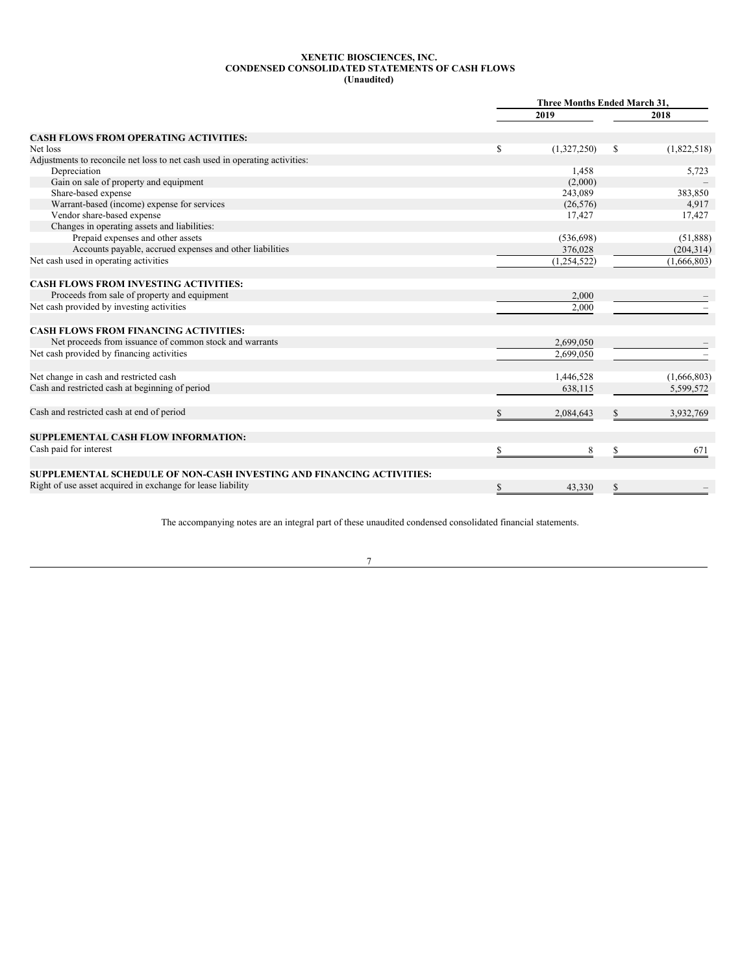### <span id="page-6-0"></span>**XENETIC BIOSCIENCES, INC. CONDENSED CONSOLIDATED STATEMENTS OF CASH FLOWS (Unaudited)**

|                                                                             | Three Months Ended March 31, |               |               |             |
|-----------------------------------------------------------------------------|------------------------------|---------------|---------------|-------------|
|                                                                             |                              | 2019          |               | 2018        |
| <b>CASH FLOWS FROM OPERATING ACTIVITIES:</b>                                |                              |               |               |             |
| Net loss                                                                    | $\mathbf S$                  | (1,327,250)   | <sup>\$</sup> | (1,822,518) |
| Adjustments to reconcile net loss to net cash used in operating activities: |                              |               |               |             |
| Depreciation                                                                |                              | 1,458         |               | 5,723       |
| Gain on sale of property and equipment                                      |                              | (2,000)       |               |             |
| Share-based expense                                                         |                              | 243,089       |               | 383,850     |
| Warrant-based (income) expense for services                                 |                              | (26, 576)     |               | 4,917       |
| Vendor share-based expense                                                  |                              | 17,427        |               | 17,427      |
| Changes in operating assets and liabilities:                                |                              |               |               |             |
| Prepaid expenses and other assets                                           |                              | (536, 698)    |               | (51,888)    |
| Accounts payable, accrued expenses and other liabilities                    |                              | 376,028       |               | (204, 314)  |
| Net cash used in operating activities                                       |                              | (1, 254, 522) |               | (1,666,803) |
| <b>CASH FLOWS FROM INVESTING ACTIVITIES:</b>                                |                              |               |               |             |
| Proceeds from sale of property and equipment                                |                              | 2,000         |               |             |
| Net cash provided by investing activities                                   |                              | 2.000         |               |             |
| <b>CASH FLOWS FROM FINANCING ACTIVITIES:</b>                                |                              |               |               |             |
| Net proceeds from issuance of common stock and warrants                     |                              | 2,699,050     |               |             |
| Net cash provided by financing activities                                   |                              | 2.699.050     |               |             |
| Net change in cash and restricted cash                                      |                              | 1,446,528     |               | (1,666,803) |
| Cash and restricted cash at beginning of period                             |                              | 638,115       |               | 5,599,572   |
| Cash and restricted cash at end of period                                   |                              | 2,084,643     |               | 3,932,769   |
| SUPPLEMENTAL CASH FLOW INFORMATION:                                         |                              |               |               |             |
| Cash paid for interest                                                      | \$                           | 8             | \$            | 671         |
| SUPPLEMENTAL SCHEDULE OF NON-CASH INVESTING AND FINANCING ACTIVITIES:       |                              |               |               |             |
|                                                                             |                              |               |               |             |
| Right of use asset acquired in exchange for lease liability                 | \$                           | 43,330        | \$            |             |

The accompanying notes are an integral part of these unaudited condensed consolidated financial statements.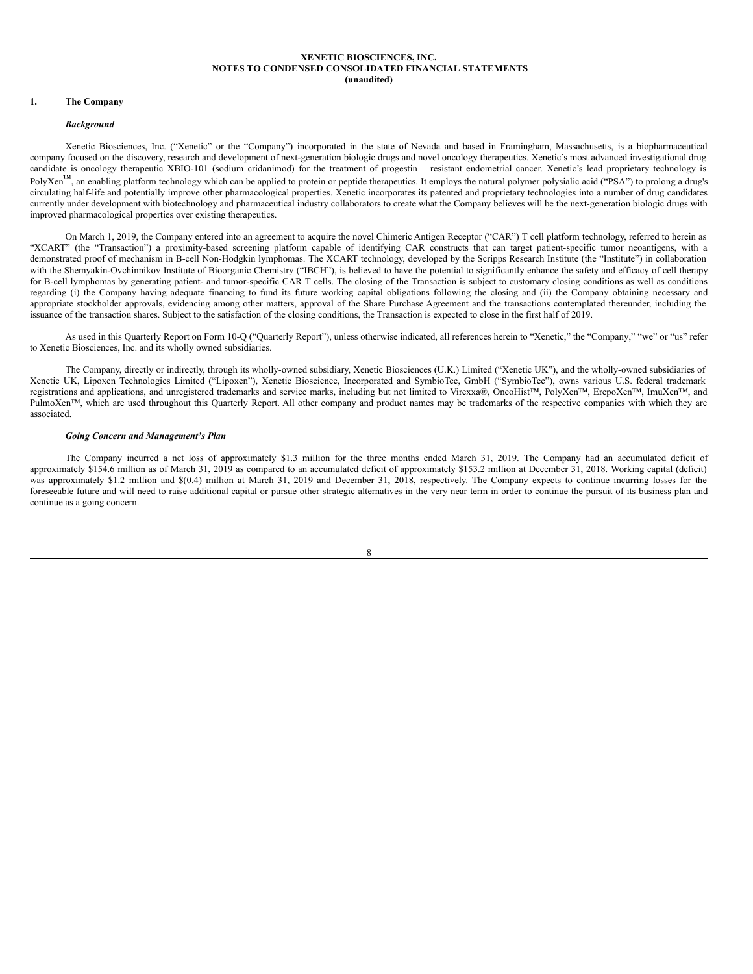### <span id="page-7-0"></span>**XENETIC BIOSCIENCES, INC. NOTES TO CONDENSED CONSOLIDATED FINANCIAL STATEMENTS (unaudited)**

# **1. The Company**

### *Background*

Xenetic Biosciences, Inc. ("Xenetic" or the "Company") incorporated in the state of Nevada and based in Framingham, Massachusetts, is a biopharmaceutical company focused on the discovery, research and development of next-generation biologic drugs and novel oncology therapeutics. Xenetic's most advanced investigational drug candidate is oncology therapeutic XBIO-101 (sodium cridanimod) for the treatment of progestin – resistant endometrial cancer. Xenetic's lead proprietary technology is PolyXen™, an enabling platform technology which can be applied to protein or peptide therapeutics. It employs the natural polymer polysialic acid ("PSA") to prolong a drug's circulating half-life and potentially improve other pharmacological properties. Xenetic incorporates its patented and proprietary technologies into a number of drug candidates currently under development with biotechnology and pharmaceutical industry collaborators to create what the Company believes will be the next-generation biologic drugs with improved pharmacological properties over existing therapeutics.

On March 1, 2019, the Company entered into an agreement to acquire the novel Chimeric Antigen Receptor ("CAR") T cell platform technology, referred to herein as "XCART" (the "Transaction") a proximity-based screening platform capable of identifying CAR constructs that can target patient-specific tumor neoantigens, with a demonstrated proof of mechanism in B-cell Non-Hodgkin lymphomas. The XCART technology, developed by the Scripps Research Institute (the "Institute") in collaboration with the Shemyakin-Ovchinnikov Institute of Bioorganic Chemistry ("IBCH"), is believed to have the potential to significantly enhance the safety and efficacy of cell therapy for B-cell lymphomas by generating patient- and tumor-specific CAR T cells. The closing of the Transaction is subject to customary closing conditions as well as conditions regarding (i) the Company having adequate financing to fund its future working capital obligations following the closing and (ii) the Company obtaining necessary and appropriate stockholder approvals, evidencing among other matters, approval of the Share Purchase Agreement and the transactions contemplated thereunder, including the issuance of the transaction shares. Subject to the satisfaction of the closing conditions, the Transaction is expected to close in the first half of 2019.

As used in this Quarterly Report on Form 10-Q ("Quarterly Report"), unless otherwise indicated, all references herein to "Xenetic," the "Company," "we" or "us" refer to Xenetic Biosciences, Inc. and its wholly owned subsidiaries.

The Company, directly or indirectly, through its wholly-owned subsidiary, Xenetic Biosciences (U.K.) Limited ("Xenetic UK"), and the wholly-owned subsidiaries of Xenetic UK, Lipoxen Technologies Limited ("Lipoxen"), Xenetic Bioscience, Incorporated and SymbioTec, GmbH ("SymbioTec"), owns various U.S. federal trademark registrations and applications, and unregistered trademarks and service marks, including but not limited to Virexxa®, OncoHist™, PolyXen™, ErepoXen™, ImuXen™, and PulmoXen™, which are used throughout this Quarterly Report. All other company and product names may be trademarks of the respective companies with which they are associated.

### *Going Concern and Management's Plan*

The Company incurred a net loss of approximately \$1.3 million for the three months ended March 31, 2019. The Company had an accumulated deficit of approximately \$154.6 million as of March 31, 2019 as compared to an accumulated deficit of approximately \$153.2 million at December 31, 2018. Working capital (deficit) was approximately \$1.2 million and \$(0.4) million at March 31, 2019 and December 31, 2018, respectively. The Company expects to continue incurring losses for the foreseeable future and will need to raise additional capital or pursue other strategic alternatives in the very near term in order to continue the pursuit of its business plan and continue as a going concern.

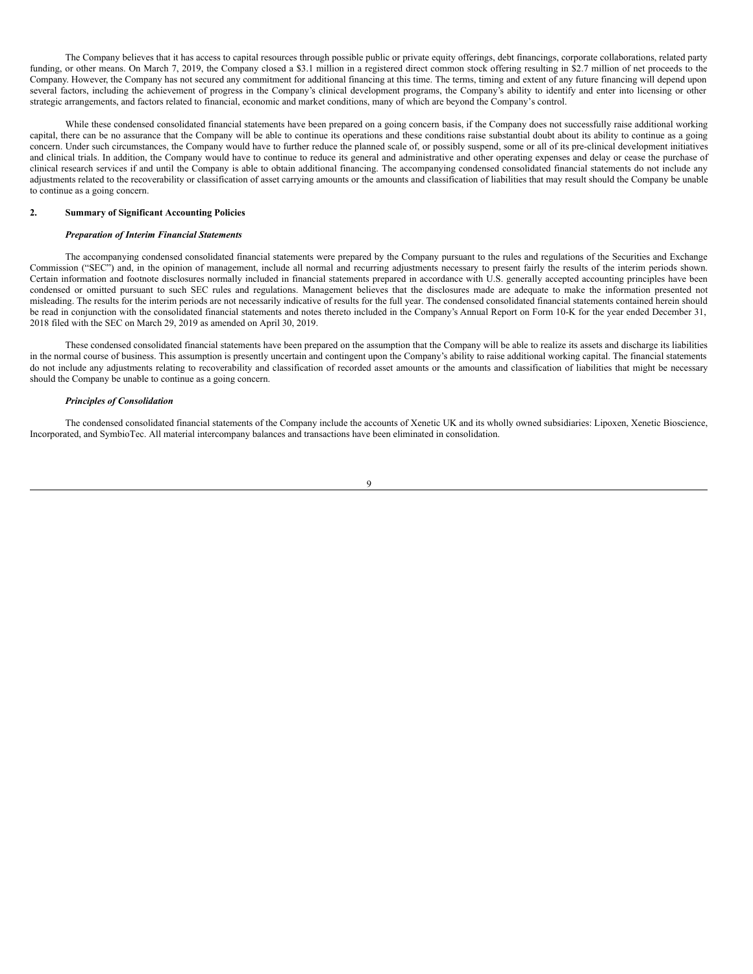The Company believes that it has access to capital resources through possible public or private equity offerings, debt financings, corporate collaborations, related party funding, or other means. On March 7, 2019, the Company closed a \$3.1 million in a registered direct common stock offering resulting in \$2.7 million of net proceeds to the Company. However, the Company has not secured any commitment for additional financing at this time. The terms, timing and extent of any future financing will depend upon several factors, including the achievement of progress in the Company's clinical development programs, the Company's ability to identify and enter into licensing or other strategic arrangements, and factors related to financial, economic and market conditions, many of which are beyond the Company's control.

While these condensed consolidated financial statements have been prepared on a going concern basis, if the Company does not successfully raise additional working capital, there can be no assurance that the Company will be able to continue its operations and these conditions raise substantial doubt about its ability to continue as a going concern. Under such circumstances, the Company would have to further reduce the planned scale of, or possibly suspend, some or all of its pre-clinical development initiatives and clinical trials. In addition, the Company would have to continue to reduce its general and administrative and other operating expenses and delay or cease the purchase of clinical research services if and until the Company is able to obtain additional financing. The accompanying condensed consolidated financial statements do not include any adjustments related to the recoverability or classification of asset carrying amounts or the amounts and classification of liabilities that may result should the Company be unable to continue as a going concern.

### **2. Summary of Significant Accounting Policies**

# *Preparation of Interim Financial Statements*

The accompanying condensed consolidated financial statements were prepared by the Company pursuant to the rules and regulations of the Securities and Exchange Commission ("SEC") and, in the opinion of management, include all normal and recurring adjustments necessary to present fairly the results of the interim periods shown. Certain information and footnote disclosures normally included in financial statements prepared in accordance with U.S. generally accepted accounting principles have been condensed or omitted pursuant to such SEC rules and regulations. Management believes that the disclosures made are adequate to make the information presented not misleading. The results for the interim periods are not necessarily indicative of results for the full year. The condensed consolidated financial statements contained herein should be read in conjunction with the consolidated financial statements and notes thereto included in the Company's Annual Report on Form 10-K for the year ended December 31, 2018 filed with the SEC on March 29, 2019 as amended on April 30, 2019.

These condensed consolidated financial statements have been prepared on the assumption that the Company will be able to realize its assets and discharge its liabilities in the normal course of business. This assumption is presently uncertain and contingent upon the Company's ability to raise additional working capital. The financial statements do not include any adjustments relating to recoverability and classification of recorded asset amounts or the amounts and classification of liabilities that might be necessary should the Company be unable to continue as a going concern.

### *Principles of Consolidation*

The condensed consolidated financial statements of the Company include the accounts of Xenetic UK and its wholly owned subsidiaries: Lipoxen, Xenetic Bioscience, Incorporated, and SymbioTec. All material intercompany balances and transactions have been eliminated in consolidation.

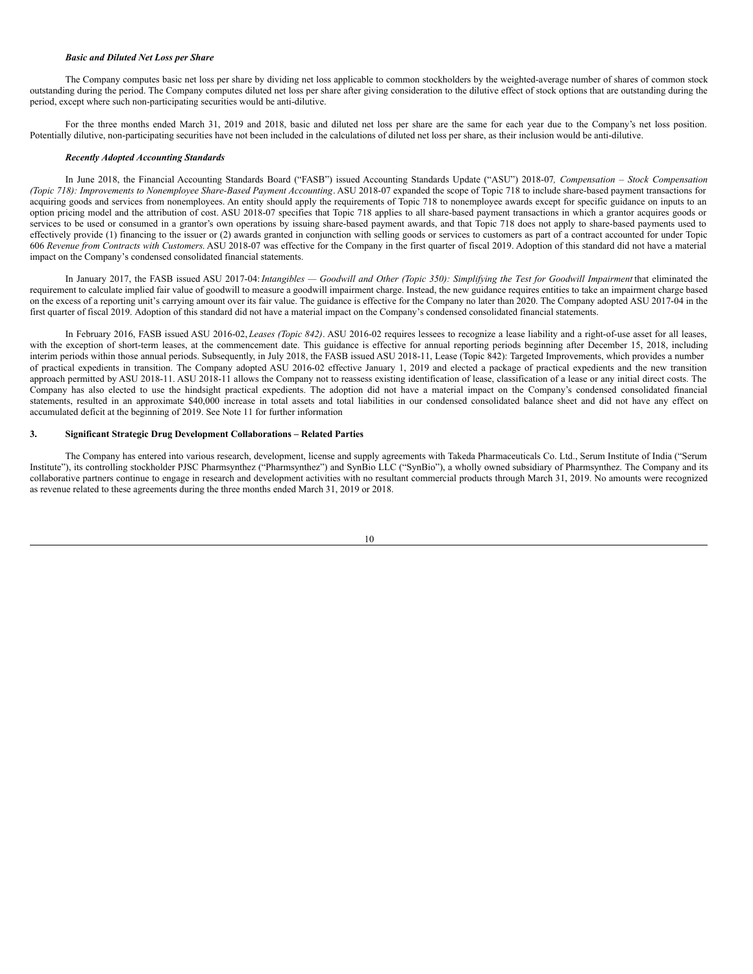### *Basic and Diluted Net Loss per Share*

The Company computes basic net loss per share by dividing net loss applicable to common stockholders by the weighted-average number of shares of common stock outstanding during the period. The Company computes diluted net loss per share after giving consideration to the dilutive effect of stock options that are outstanding during the period, except where such non-participating securities would be anti-dilutive.

For the three months ended March 31, 2019 and 2018, basic and diluted net loss per share are the same for each year due to the Company's net loss position. Potentially dilutive, non-participating securities have not been included in the calculations of diluted net loss per share, as their inclusion would be anti-dilutive.

### *Recently Adopted Accounting Standards*

In June 2018, the Financial Accounting Standards Board ("FASB") issued Accounting Standards Update ("ASU") 2018-07*, Compensation – Stock Compensation (Topic 718): Improvements to Nonemployee Share-Based Payment Accounting*. ASU 2018-07 expanded the scope of Topic 718 to include share-based payment transactions for acquiring goods and services from nonemployees. An entity should apply the requirements of Topic 718 to nonemployee awards except for specific guidance on inputs to an option pricing model and the attribution of cost. ASU 2018-07 specifies that Topic 718 applies to all share-based payment transactions in which a grantor acquires goods or services to be used or consumed in a grantor's own operations by issuing share-based payment awards, and that Topic 718 does not apply to share-based payments used to effectively provide (1) financing to the issuer or (2) awards granted in conjunction with selling goods or services to customers as part of a contract accounted for under Topic 606 *Revenue from Contracts with Customers*. ASU 2018-07 was effective for the Company in the first quarter of fiscal 2019. Adoption of this standard did not have a material impact on the Company's condensed consolidated financial statements.

In January 2017, the FASB issued ASU 2017-04: Intangibles — Goodwill and Other (Topic 350): Simplifying the Test for Goodwill Impairment that eliminated the requirement to calculate implied fair value of goodwill to measure a goodwill impairment charge. Instead, the new guidance requires entities to take an impairment charge based on the excess of a reporting unit's carrying amount over its fair value. The guidance is effective for the Company no later than 2020. The Company adopted ASU 2017-04 in the first quarter of fiscal 2019. Adoption of this standard did not have a material impact on the Company's condensed consolidated financial statements.

In February 2016, FASB issued ASU 2016-02, *Leases (Topic 842)*. ASU 2016-02 requires lessees to recognize a lease liability and a right-of-use asset for all leases, with the exception of short-term leases, at the commencement date. This guidance is effective for annual reporting periods beginning after December 15, 2018, including interim periods within those annual periods. Subsequently, in July 2018, the FASB issued ASU 2018-11, Lease (Topic 842): Targeted Improvements, which provides a number of practical expedients in transition. The Company adopted ASU 2016-02 effective January 1, 2019 and elected a package of practical expedients and the new transition approach permitted by ASU 2018-11. ASU 2018-11 allows the Company not to reassess existing identification of lease, classification of a lease or any initial direct costs. The Company has also elected to use the hindsight practical expedients. The adoption did not have a material impact on the Company's condensed consolidated financial statements, resulted in an approximate \$40,000 increase in total assets and total liabilities in our condensed consolidated balance sheet and did not have any effect on accumulated deficit at the beginning of 2019. See Note 11 for further information

### **3. Significant Strategic Drug Development Collaborations – Related Parties**

The Company has entered into various research, development, license and supply agreements with Takeda Pharmaceuticals Co. Ltd., Serum Institute of India ("Serum Institute"), its controlling stockholder PJSC Pharmsynthez ("Pharmsynthez") and SynBio LLC ("SynBio"), a wholly owned subsidiary of Pharmsynthez. The Company and its collaborative partners continue to engage in research and development activities with no resultant commercial products through March 31, 2019. No amounts were recognized as revenue related to these agreements during the three months ended March 31, 2019 or 2018.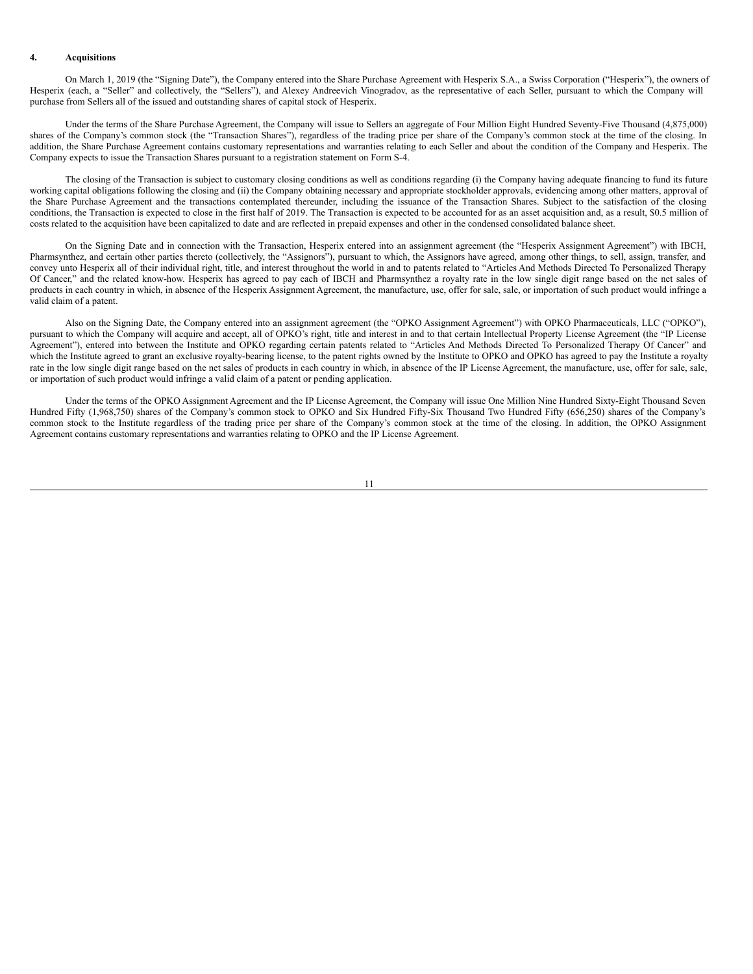#### **4. Acquisitions**

On March 1, 2019 (the "Signing Date"), the Company entered into the Share Purchase Agreement with Hesperix S.A., a Swiss Corporation ("Hesperix"), the owners of Hesperix (each, a "Seller" and collectively, the "Sellers"), and Alexey Andreevich Vinogradov, as the representative of each Seller, pursuant to which the Company will purchase from Sellers all of the issued and outstanding shares of capital stock of Hesperix.

Under the terms of the Share Purchase Agreement, the Company will issue to Sellers an aggregate of Four Million Eight Hundred Seventy-Five Thousand (4,875,000) shares of the Company's common stock (the "Transaction Shares"), regardless of the trading price per share of the Company's common stock at the time of the closing. In addition, the Share Purchase Agreement contains customary representations and warranties relating to each Seller and about the condition of the Company and Hesperix. The Company expects to issue the Transaction Shares pursuant to a registration statement on Form S-4.

The closing of the Transaction is subject to customary closing conditions as well as conditions regarding (i) the Company having adequate financing to fund its future working capital obligations following the closing and (ii) the Company obtaining necessary and appropriate stockholder approvals, evidencing among other matters, approval of the Share Purchase Agreement and the transactions contemplated thereunder, including the issuance of the Transaction Shares. Subject to the satisfaction of the closing conditions, the Transaction is expected to close in the first half of 2019. The Transaction is expected to be accounted for as an asset acquisition and, as a result, \$0.5 million of costs related to the acquisition have been capitalized to date and are reflected in prepaid expenses and other in the condensed consolidated balance sheet.

On the Signing Date and in connection with the Transaction, Hesperix entered into an assignment agreement (the "Hesperix Assignment Agreement") with IBCH, Pharmsynthez, and certain other parties thereto (collectively, the "Assignors"), pursuant to which, the Assignors have agreed, among other things, to sell, assign, transfer, and convey unto Hesperix all of their individual right, title, and interest throughout the world in and to patents related to "Articles And Methods Directed To Personalized Therapy Of Cancer," and the related know-how. Hesperix has agreed to pay each of IBCH and Pharmsynthez a royalty rate in the low single digit range based on the net sales of products in each country in which, in absence of the Hesperix Assignment Agreement, the manufacture, use, offer for sale, sale, or importation of such product would infringe a valid claim of a patent.

Also on the Signing Date, the Company entered into an assignment agreement (the "OPKO Assignment Agreement") with OPKO Pharmaceuticals, LLC ("OPKO"), pursuant to which the Company will acquire and accept, all of OPKO's right, title and interest in and to that certain Intellectual Property License Agreement (the "IP License Agreement"), entered into between the Institute and OPKO regarding certain patents related to "Articles And Methods Directed To Personalized Therapy Of Cancer" and which the Institute agreed to grant an exclusive royalty-bearing license, to the patent rights owned by the Institute to OPKO and OPKO has agreed to pay the Institute a royalty rate in the low single digit range based on the net sales of products in each country in which, in absence of the IP License Agreement, the manufacture, use, offer for sale, sale, or importation of such product would infringe a valid claim of a patent or pending application.

Under the terms of the OPKO Assignment Agreement and the IP License Agreement, the Company will issue One Million Nine Hundred Sixty-Eight Thousand Seven Hundred Fifty (1,968,750) shares of the Company's common stock to OPKO and Six Hundred Fifty-Six Thousand Two Hundred Fifty (656,250) shares of the Company's common stock to the Institute regardless of the trading price per share of the Company's common stock at the time of the closing. In addition, the OPKO Assignment Agreement contains customary representations and warranties relating to OPKO and the IP License Agreement.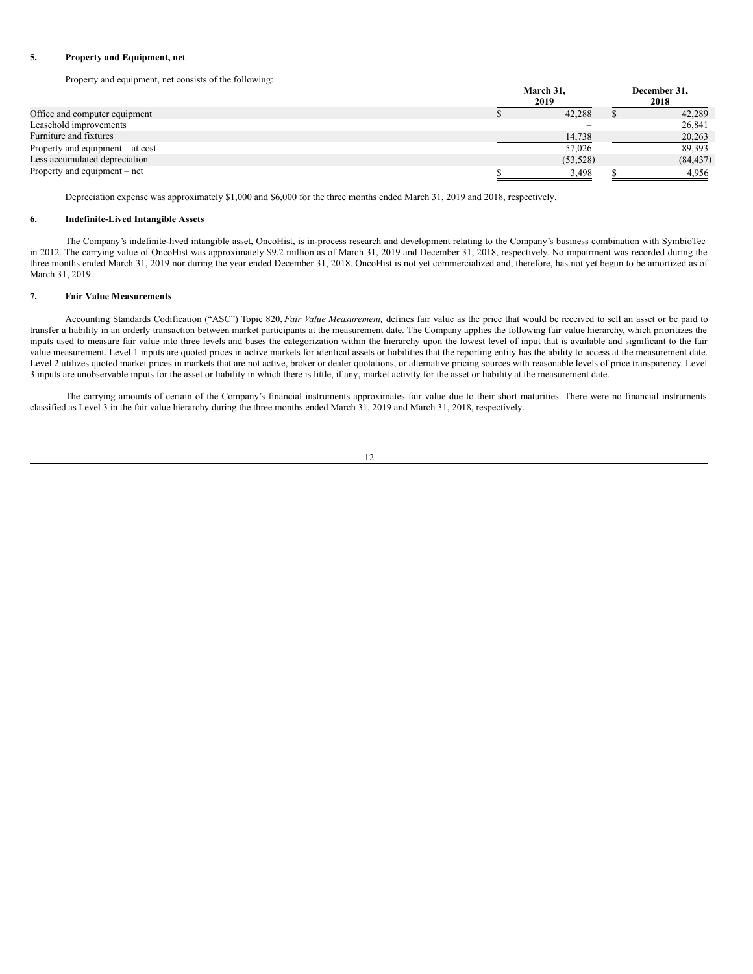### **5. Property and Equipment, net**

Property and equipment, net consists of the following:

| Troper, and equipment, not consists of the rond wing. | March 31,<br>2019 |           |  | December 31,<br>2018 |  |  |
|-------------------------------------------------------|-------------------|-----------|--|----------------------|--|--|
| Office and computer equipment                         |                   | 42,288    |  | 42,289               |  |  |
| Leasehold improvements                                |                   |           |  | 26,841               |  |  |
| Furniture and fixtures                                |                   | 14,738    |  | 20,263               |  |  |
| Property and equipment $-$ at cost                    |                   | 57.026    |  | 89,393               |  |  |
| Less accumulated depreciation                         |                   | (53, 528) |  | (84, 437)            |  |  |
| Property and equipment $-$ net                        |                   | 3.498     |  | 4.956                |  |  |

Depreciation expense was approximately \$1,000 and \$6,000 for the three months ended March 31, 2019 and 2018, respectively.

# **6. Indefinite-Lived Intangible Assets**

The Company's indefinite-lived intangible asset, OncoHist, is in-process research and development relating to the Company's business combination with SymbioTec in 2012. The carrying value of OncoHist was approximately \$9.2 million as of March 31, 2019 and December 31, 2018, respectively. No impairment was recorded during the three months ended March 31, 2019 nor during the year ended December 31, 2018. OncoHist is not yet commercialized and, therefore, has not yet begun to be amortized as of March 31, 2019.

# **7. Fair Value Measurements**

Accounting Standards Codification ("ASC") Topic 820, *Fair Value Measurement,* defines fair value as the price that would be received to sell an asset or be paid to transfer a liability in an orderly transaction between market participants at the measurement date. The Company applies the following fair value hierarchy, which prioritizes the inputs used to measure fair value into three levels and bases the categorization within the hierarchy upon the lowest level of input that is available and significant to the fair value measurement. Level 1 inputs are quoted prices in active markets for identical assets or liabilities that the reporting entity has the ability to access at the measurement date. Level 2 utilizes quoted market prices in markets that are not active, broker or dealer quotations, or alternative pricing sources with reasonable levels of price transparency. Level 3 inputs are unobservable inputs for the asset or liability in which there is little, if any, market activity for the asset or liability at the measurement date.

The carrying amounts of certain of the Company's financial instruments approximates fair value due to their short maturities. There were no financial instruments classified as Level 3 in the fair value hierarchy during the three months ended March 31, 2019 and March 31, 2018, respectively.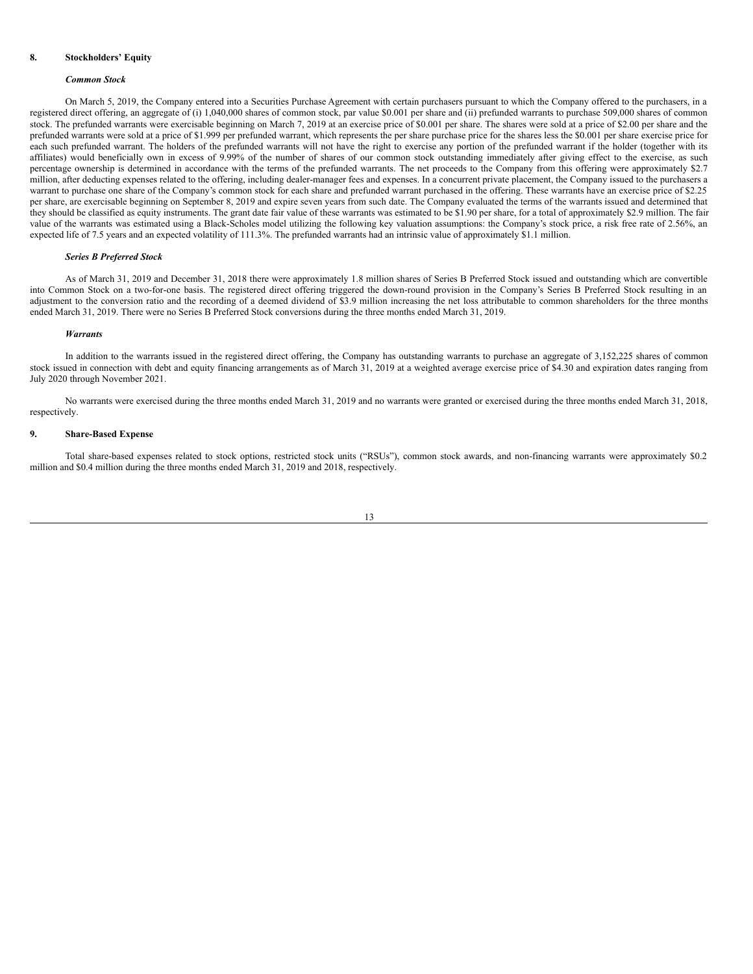#### **8. Stockholders' Equity**

#### *Common Stock*

On March 5, 2019, the Company entered into a Securities Purchase Agreement with certain purchasers pursuant to which the Company offered to the purchasers, in a registered direct offering, an aggregate of (i) 1,040,000 shares of common stock, par value \$0.001 per share and (ii) prefunded warrants to purchase 509,000 shares of common stock. The prefunded warrants were exercisable beginning on March 7, 2019 at an exercise price of \$0.001 per share. The shares were sold at a price of \$2.00 per share and the prefunded warrants were sold at a price of \$1.999 per prefunded warrant, which represents the per share purchase price for the shares less the \$0.001 per share exercise price for each such prefunded warrant. The holders of the prefunded warrants will not have the right to exercise any portion of the prefunded warrant if the holder (together with its affiliates) would beneficially own in excess of 9.99% of the number of shares of our common stock outstanding immediately after giving effect to the exercise, as such percentage ownership is determined in accordance with the terms of the prefunded warrants. The net proceeds to the Company from this offering were approximately \$2.7 million, after deducting expenses related to the offering, including dealer-manager fees and expenses. In a concurrent private placement, the Company issued to the purchasers a warrant to purchase one share of the Company's common stock for each share and prefunded warrant purchased in the offering. These warrants have an exercise price of \$2.25 per share, are exercisable beginning on September 8, 2019 and expire seven years from such date. The Company evaluated the terms of the warrants issued and determined that they should be classified as equity instruments. The grant date fair value of these warrants was estimated to be \$1.90 per share, for a total of approximately \$2.9 million. The fair value of the warrants was estimated using a Black-Scholes model utilizing the following key valuation assumptions: the Company's stock price, a risk free rate of 2.56%, an expected life of 7.5 years and an expected volatility of 111.3%. The prefunded warrants had an intrinsic value of approximately \$1.1 million.

# *Series B Preferred Stock*

As of March 31, 2019 and December 31, 2018 there were approximately 1.8 million shares of Series B Preferred Stock issued and outstanding which are convertible into Common Stock on a two-for-one basis. The registered direct offering triggered the down-round provision in the Company's Series B Preferred Stock resulting in an adjustment to the conversion ratio and the recording of a deemed dividend of \$3.9 million increasing the net loss attributable to common shareholders for the three months ended March 31, 2019. There were no Series B Preferred Stock conversions during the three months ended March 31, 2019.

#### *Warrants*

In addition to the warrants issued in the registered direct offering, the Company has outstanding warrants to purchase an aggregate of 3,152,225 shares of common stock issued in connection with debt and equity financing arrangements as of March 31, 2019 at a weighted average exercise price of \$4.30 and expiration dates ranging from July 2020 through November 2021.

No warrants were exercised during the three months ended March 31, 2019 and no warrants were granted or exercised during the three months ended March 31, 2018, respectively.

### **9. Share-Based Expense**

Total share-based expenses related to stock options, restricted stock units ("RSUs"), common stock awards, and non-financing warrants were approximately \$0.2 million and \$0.4 million during the three months ended March 31, 2019 and 2018, respectively.

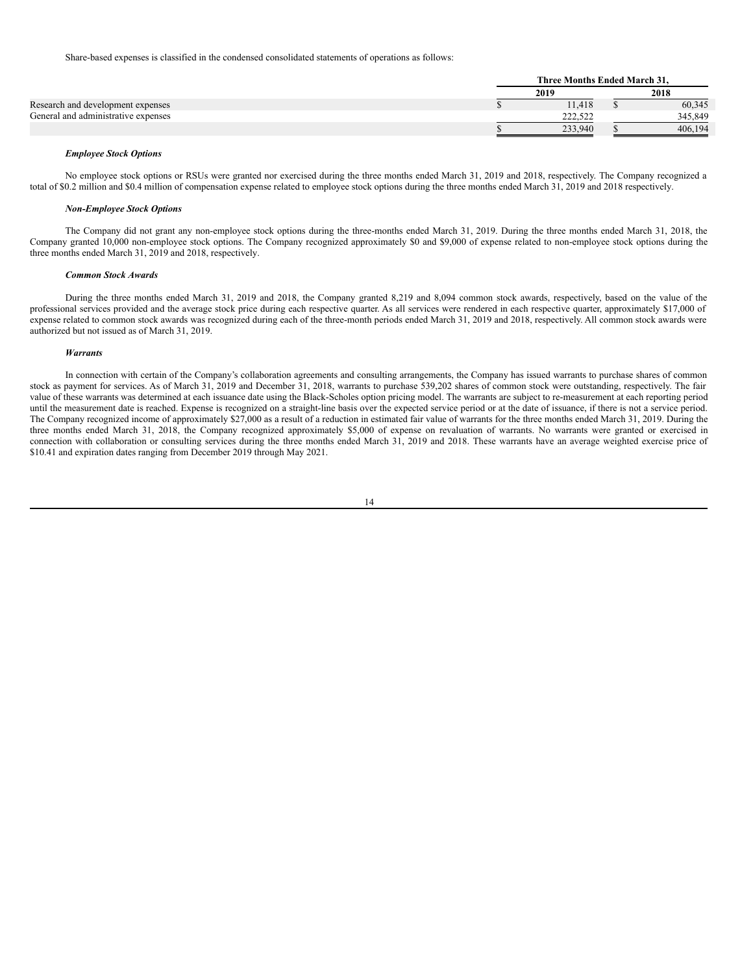Share-based expenses is classified in the condensed consolidated statements of operations as follows:

|                                     | Three Months Ended March 31. |  |         |  |
|-------------------------------------|------------------------------|--|---------|--|
|                                     | 2019                         |  | 2018    |  |
| Research and development expenses   | 11.418                       |  | 60.345  |  |
| General and administrative expenses | 222,522                      |  | 345,849 |  |
|                                     | 233,940                      |  | 406.194 |  |

# *Employee Stock Options*

No employee stock options or RSUs were granted nor exercised during the three months ended March 31, 2019 and 2018, respectively. The Company recognized a total of \$0.2 million and \$0.4 million of compensation expense related to employee stock options during the three months ended March 31, 2019 and 2018 respectively.

#### *Non-Employee Stock Options*

The Company did not grant any non-employee stock options during the three-months ended March 31, 2019. During the three months ended March 31, 2018, the Company granted 10,000 non-employee stock options. The Company recognized approximately \$0 and \$9,000 of expense related to non-employee stock options during the three months ended March 31, 2019 and 2018, respectively.

### *Common Stock Awards*

During the three months ended March 31, 2019 and 2018, the Company granted 8,219 and 8,094 common stock awards, respectively, based on the value of the professional services provided and the average stock price during each respective quarter. As all services were rendered in each respective quarter, approximately \$17,000 of expense related to common stock awards was recognized during each of the three-month periods ended March 31, 2019 and 2018, respectively. All common stock awards were authorized but not issued as of March 31, 2019.

#### *Warrants*

In connection with certain of the Company's collaboration agreements and consulting arrangements, the Company has issued warrants to purchase shares of common stock as payment for services. As of March 31, 2019 and December 31, 2018, warrants to purchase 539,202 shares of common stock were outstanding, respectively. The fair value of these warrants was determined at each issuance date using the Black-Scholes option pricing model. The warrants are subject to re-measurement at each reporting period until the measurement date is reached. Expense is recognized on a straight-line basis over the expected service period or at the date of issuance, if there is not a service period. The Company recognized income of approximately \$27,000 as a result of a reduction in estimated fair value of warrants for the three months ended March 31, 2019. During the three months ended March 31, 2018, the Company recognized approximately \$5,000 of expense on revaluation of warrants. No warrants were granted or exercised in connection with collaboration or consulting services during the three months ended March 31, 2019 and 2018. These warrants have an average weighted exercise price of \$10.41 and expiration dates ranging from December 2019 through May 2021.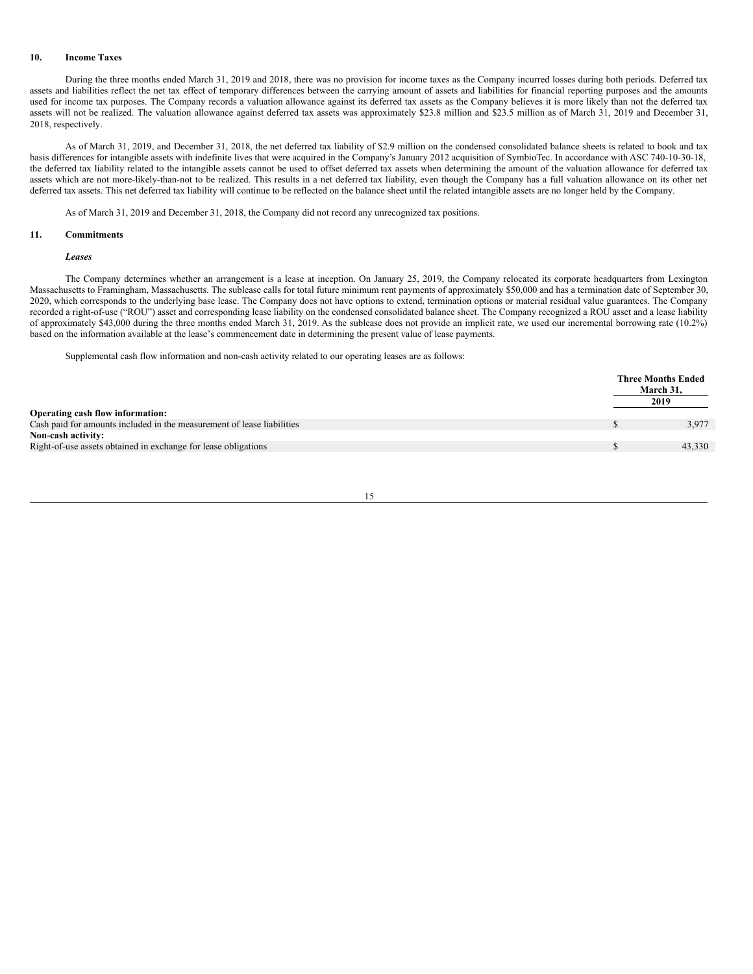### **10. Income Taxes**

During the three months ended March 31, 2019 and 2018, there was no provision for income taxes as the Company incurred losses during both periods. Deferred tax assets and liabilities reflect the net tax effect of temporary differences between the carrying amount of assets and liabilities for financial reporting purposes and the amounts used for income tax purposes. The Company records a valuation allowance against its deferred tax assets as the Company believes it is more likely than not the deferred tax assets will not be realized. The valuation allowance against deferred tax assets was approximately \$23.8 million and \$23.5 million as of March 31, 2019 and December 31, 2018, respectively.

As of March 31, 2019, and December 31, 2018, the net deferred tax liability of \$2.9 million on the condensed consolidated balance sheets is related to book and tax basis differences for intangible assets with indefinite lives that were acquired in the Company's January 2012 acquisition of SymbioTec. In accordance with ASC 740-10-30-18, the deferred tax liability related to the intangible assets cannot be used to offset deferred tax assets when determining the amount of the valuation allowance for deferred tax assets which are not more-likely-than-not to be realized. This results in a net deferred tax liability, even though the Company has a full valuation allowance on its other net deferred tax assets. This net deferred tax liability will continue to be reflected on the balance sheet until the related intangible assets are no longer held by the Company.

As of March 31, 2019 and December 31, 2018, the Company did not record any unrecognized tax positions.

### **11. Commitments**

### *Leases*

The Company determines whether an arrangement is a lease at inception. On January 25, 2019, the Company relocated its corporate headquarters from Lexington Massachusetts to Framingham, Massachusetts. The sublease calls for total future minimum rent payments of approximately \$50,000 and has a termination date of September 30, 2020, which corresponds to the underlying base lease. The Company does not have options to extend, termination options or material residual value guarantees. The Company recorded a right-of-use ("ROU") asset and corresponding lease liability on the condensed consolidated balance sheet. The Company recognized a ROU asset and a lease liability of approximately \$43,000 during the three months ended March 31, 2019. As the sublease does not provide an implicit rate, we used our incremental borrowing rate (10.2%) based on the information available at the lease's commencement date in determining the present value of lease payments.

Supplemental cash flow information and non-cash activity related to our operating leases are as follows:

|                                                                        | <b>Three Months Ended</b><br>March 31, |
|------------------------------------------------------------------------|----------------------------------------|
|                                                                        | 2019                                   |
| Operating cash flow information:                                       |                                        |
| Cash paid for amounts included in the measurement of lease liabilities | 3.977                                  |
| Non-cash activity:                                                     |                                        |
| Right-of-use assets obtained in exchange for lease obligations         | 43.330                                 |
|                                                                        |                                        |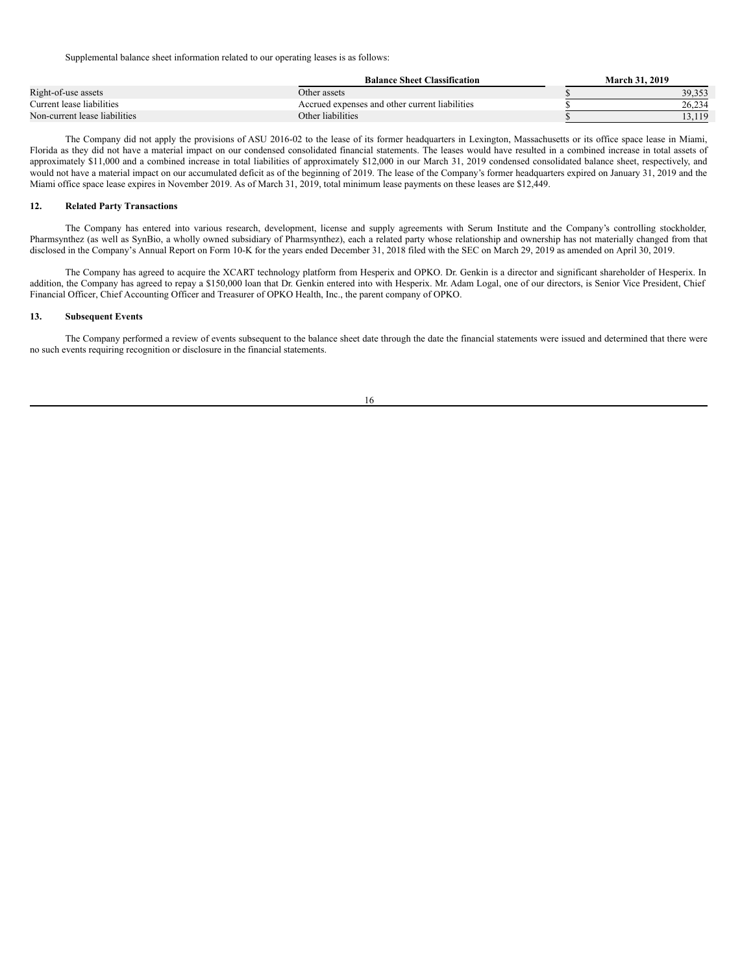Supplemental balance sheet information related to our operating leases is as follows:

|                               | <b>Balance Sheet Classification</b>            | March 31, 2019 |  |  |
|-------------------------------|------------------------------------------------|----------------|--|--|
| Right-of-use assets           | Other assets                                   | 39.353         |  |  |
| Current lease liabilities     | Accrued expenses and other current liabilities | 26.234         |  |  |
| Non-current lease liabilities | Other liabilities                              | 13 110         |  |  |

The Company did not apply the provisions of ASU 2016-02 to the lease of its former headquarters in Lexington, Massachusetts or its office space lease in Miami, Florida as they did not have a material impact on our condensed consolidated financial statements. The leases would have resulted in a combined increase in total assets of approximately \$11,000 and a combined increase in total liabilities of approximately \$12,000 in our March 31, 2019 condensed consolidated balance sheet, respectively, and would not have a material impact on our accumulated deficit as of the beginning of 2019. The lease of the Company's former headquarters expired on January 31, 2019 and the Miami office space lease expires in November 2019. As of March 31, 2019, total minimum lease payments on these leases are \$12,449.

# **12. Related Party Transactions**

The Company has entered into various research, development, license and supply agreements with Serum Institute and the Company's controlling stockholder, Pharmsynthez (as well as SynBio, a wholly owned subsidiary of Pharmsynthez), each a related party whose relationship and ownership has not materially changed from that disclosed in the Company's Annual Report on Form 10-K for the years ended December 31, 2018 filed with the SEC on March 29, 2019 as amended on April 30, 2019.

The Company has agreed to acquire the XCART technology platform from Hesperix and OPKO. Dr. Genkin is a director and significant shareholder of Hesperix. In addition, the Company has agreed to repay a \$150,000 loan that Dr. Genkin entered into with Hesperix. Mr. Adam Logal, one of our directors, is Senior Vice President, Chief Financial Officer, Chief Accounting Officer and Treasurer of OPKO Health, Inc., the parent company of OPKO.

# **13. Subsequent Events**

The Company performed a review of events subsequent to the balance sheet date through the date the financial statements were issued and determined that there were no such events requiring recognition or disclosure in the financial statements.

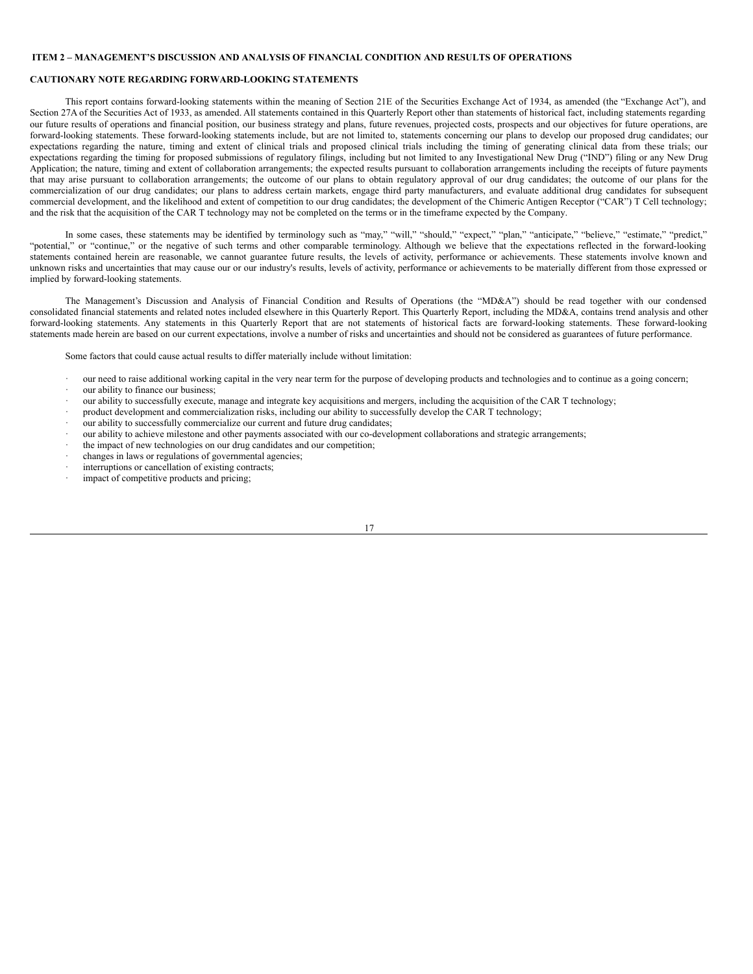# <span id="page-16-0"></span>**ITEM 2 – MANAGEMENT'S DISCUSSION AND ANALYSIS OF FINANCIAL CONDITION AND RESULTS OF OPERATIONS**

# **CAUTIONARY NOTE REGARDING FORWARD-LOOKING STATEMENTS**

This report contains forward-looking statements within the meaning of Section 21E of the Securities Exchange Act of 1934, as amended (the "Exchange Act"), and Section 27A of the Securities Act of 1933, as amended. All statements contained in this Quarterly Report other than statements of historical fact, including statements regarding our future results of operations and financial position, our business strategy and plans, future revenues, projected costs, prospects and our objectives for future operations, are forward-looking statements. These forward-looking statements include, but are not limited to, statements concerning our plans to develop our proposed drug candidates; our expectations regarding the nature, timing and extent of clinical trials and proposed clinical trials including the timing of generating clinical data from these trials; our expectations regarding the timing for proposed submissions of regulatory filings, including but not limited to any Investigational New Drug ("IND") filing or any New Drug Application; the nature, timing and extent of collaboration arrangements; the expected results pursuant to collaboration arrangements including the receipts of future payments that may arise pursuant to collaboration arrangements; the outcome of our plans to obtain regulatory approval of our drug candidates; the outcome of our plans for the commercialization of our drug candidates; our plans to address certain markets, engage third party manufacturers, and evaluate additional drug candidates for subsequent commercial development, and the likelihood and extent of competition to our drug candidates; the development of the Chimeric Antigen Receptor ("CAR") T Cell technology; and the risk that the acquisition of the CAR T technology may not be completed on the terms or in the timeframe expected by the Company.

In some cases, these statements may be identified by terminology such as "may," "will," "should," "expect," "plan," "anticipate," "believe," "estimate," "predict," "potential," or "continue," or the negative of such terms and other comparable terminology. Although we believe that the expectations reflected in the forward-looking statements contained herein are reasonable, we cannot guarantee future results, the levels of activity, performance or achievements. These statements involve known and unknown risks and uncertainties that may cause our or our industry's results, levels of activity, performance or achievements to be materially different from those expressed or implied by forward-looking statements.

The Management's Discussion and Analysis of Financial Condition and Results of Operations (the "MD&A") should be read together with our condensed consolidated financial statements and related notes included elsewhere in this Quarterly Report. This Quarterly Report, including the MD&A, contains trend analysis and other forward-looking statements. Any statements in this Quarterly Report that are not statements of historical facts are forward-looking statements. These forward-looking statements made herein are based on our current expectations, involve a number of risks and uncertainties and should not be considered as guarantees of future performance.

Some factors that could cause actual results to differ materially include without limitation:

- · our need to raise additional working capital in the very near term for the purpose of developing products and technologies and to continue as a going concern;
- our ability to finance our business;
- · our ability to successfully execute, manage and integrate key acquisitions and mergers, including the acquisition of the CAR T technology;
- product development and commercialization risks, including our ability to successfully develop the CAR T technology;
- our ability to successfully commercialize our current and future drug candidates;
- our ability to achieve milestone and other payments associated with our co-development collaborations and strategic arrangements;
- the impact of new technologies on our drug candidates and our competition;
- changes in laws or regulations of governmental agencies;
- interruptions or cancellation of existing contracts;
- impact of competitive products and pricing;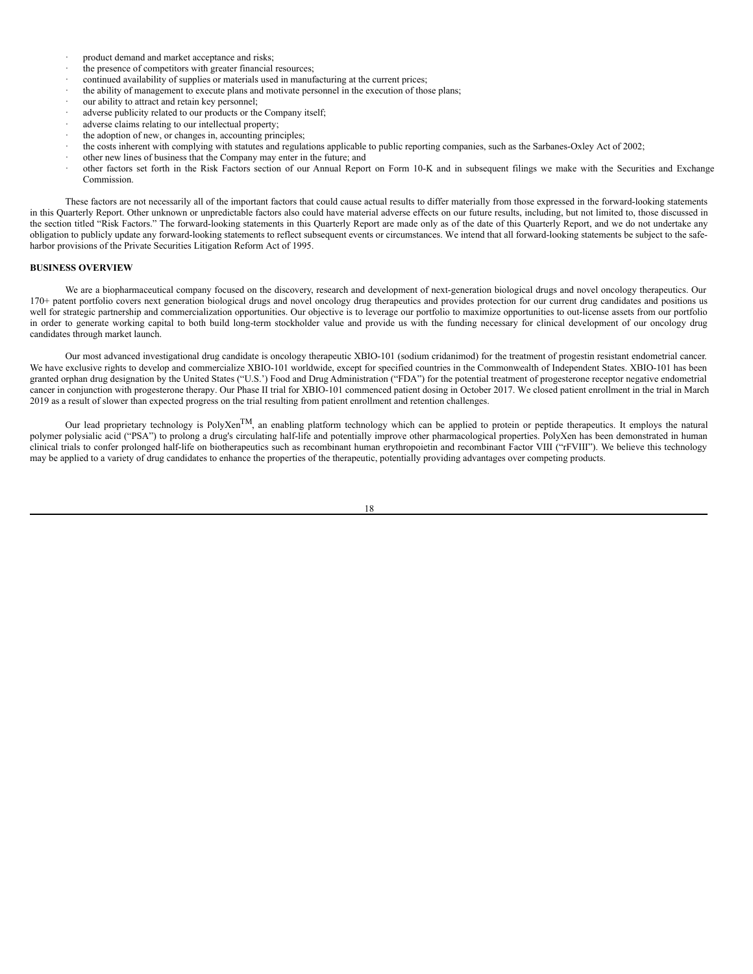- product demand and market acceptance and risks;
- the presence of competitors with greater financial resources;
- continued availability of supplies or materials used in manufacturing at the current prices;
- the ability of management to execute plans and motivate personnel in the execution of those plans;
- our ability to attract and retain key personnel;
- adverse publicity related to our products or the Company itself;
- adverse claims relating to our intellectual property;
- the adoption of new, or changes in, accounting principles;
- · the costs inherent with complying with statutes and regulations applicable to public reporting companies, such as the Sarbanes-Oxley Act of 2002;
- other new lines of business that the Company may enter in the future; and
- · other factors set forth in the Risk Factors section of our Annual Report on Form 10-K and in subsequent filings we make with the Securities and Exchange Commission.

These factors are not necessarily all of the important factors that could cause actual results to differ materially from those expressed in the forward-looking statements in this Quarterly Report. Other unknown or unpredictable factors also could have material adverse effects on our future results, including, but not limited to, those discussed in the section titled "Risk Factors." The forward-looking statements in this Quarterly Report are made only as of the date of this Quarterly Report, and we do not undertake any obligation to publicly update any forward-looking statements to reflect subsequent events or circumstances. We intend that all forward-looking statements be subject to the safeharbor provisions of the Private Securities Litigation Reform Act of 1995.

# **BUSINESS OVERVIEW**

We are a biopharmaceutical company focused on the discovery, research and development of next-generation biological drugs and novel oncology therapeutics. Our 170+ patent portfolio covers next generation biological drugs and novel oncology drug therapeutics and provides protection for our current drug candidates and positions us well for strategic partnership and commercialization opportunities. Our objective is to leverage our portfolio to maximize opportunities to out-license assets from our portfolio in order to generate working capital to both build long-term stockholder value and provide us with the funding necessary for clinical development of our oncology drug candidates through market launch.

Our most advanced investigational drug candidate is oncology therapeutic XBIO-101 (sodium cridanimod) for the treatment of progestin resistant endometrial cancer. We have exclusive rights to develop and commercialize XBIO-101 worldwide, except for specified countries in the Commonwealth of Independent States. XBIO-101 has been granted orphan drug designation by the United States ("U.S.') Food and Drug Administration ("FDA") for the potential treatment of progesterone receptor negative endometrial cancer in conjunction with progesterone therapy. Our Phase II trial for XBIO-101 commenced patient dosing in October 2017. We closed patient enrollment in the trial in March 2019 as a result of slower than expected progress on the trial resulting from patient enrollment and retention challenges.

Our lead proprietary technology is PolyXen<sup>TM</sup>, an enabling platform technology which can be applied to protein or peptide therapeutics. It employs the natural polymer polysialic acid ("PSA") to prolong a drug's circulating half-life and potentially improve other pharmacological properties. PolyXen has been demonstrated in human clinical trials to confer prolonged half-life on biotherapeutics such as recombinant human erythropoietin and recombinant Factor VIII ("rFVIII"). We believe this technology may be applied to a variety of drug candidates to enhance the properties of the therapeutic, potentially providing advantages over competing products.

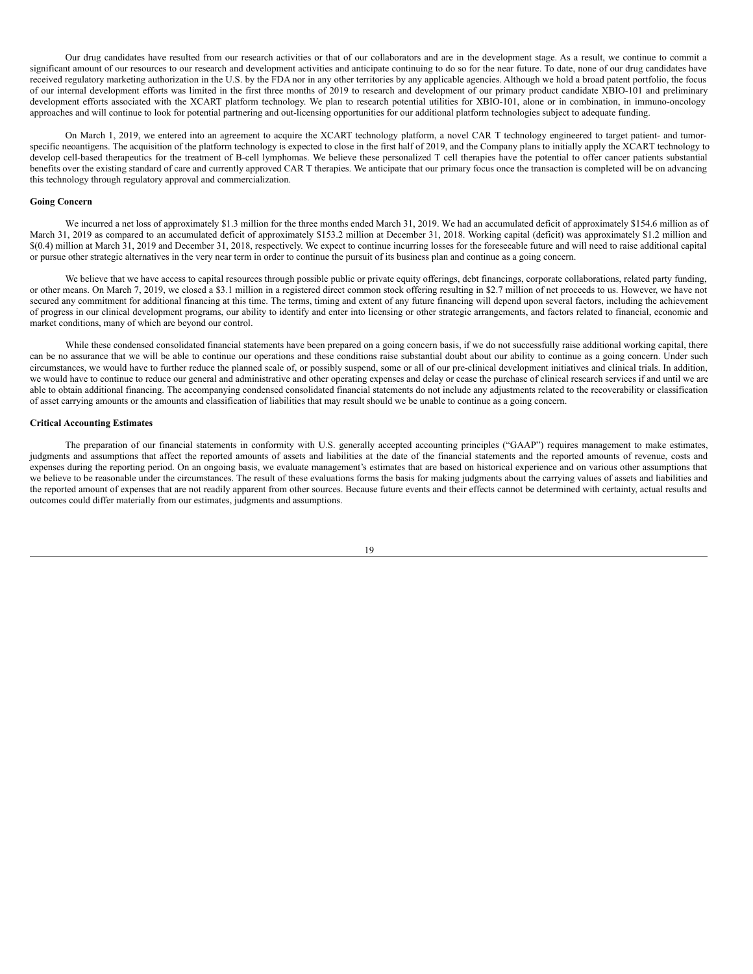Our drug candidates have resulted from our research activities or that of our collaborators and are in the development stage. As a result, we continue to commit a significant amount of our resources to our research and development activities and anticipate continuing to do so for the near future. To date, none of our drug candidates have received regulatory marketing authorization in the U.S. by the FDA nor in any other territories by any applicable agencies. Although we hold a broad patent portfolio, the focus of our internal development efforts was limited in the first three months of 2019 to research and development of our primary product candidate XBIO-101 and preliminary development efforts associated with the XCART platform technology. We plan to research potential utilities for XBIO-101, alone or in combination, in immuno-oncology approaches and will continue to look for potential partnering and out-licensing opportunities for our additional platform technologies subject to adequate funding.

On March 1, 2019, we entered into an agreement to acquire the XCART technology platform, a novel CAR T technology engineered to target patient- and tumorspecific neoantigens. The acquisition of the platform technology is expected to close in the first half of 2019, and the Company plans to initially apply the XCART technology to develop cell-based therapeutics for the treatment of B-cell lymphomas. We believe these personalized T cell therapies have the potential to offer cancer patients substantial benefits over the existing standard of care and currently approved CAR T therapies. We anticipate that our primary focus once the transaction is completed will be on advancing this technology through regulatory approval and commercialization.

# **Going Concern**

We incurred a net loss of approximately \$1.3 million for the three months ended March 31, 2019. We had an accumulated deficit of approximately \$154.6 million as of March 31, 2019 as compared to an accumulated deficit of approximately \$153.2 million at December 31, 2018. Working capital (deficit) was approximately \$1.2 million and \$(0.4) million at March 31, 2019 and December 31, 2018, respectively. We expect to continue incurring losses for the foreseeable future and will need to raise additional capital or pursue other strategic alternatives in the very near term in order to continue the pursuit of its business plan and continue as a going concern.

We believe that we have access to capital resources through possible public or private equity offerings, debt financings, corporate collaborations, related party funding, or other means. On March 7, 2019, we closed a \$3.1 million in a registered direct common stock offering resulting in \$2.7 million of net proceeds to us. However, we have not secured any commitment for additional financing at this time. The terms, timing and extent of any future financing will depend upon several factors, including the achievement of progress in our clinical development programs, our ability to identify and enter into licensing or other strategic arrangements, and factors related to financial, economic and market conditions, many of which are beyond our control.

While these condensed consolidated financial statements have been prepared on a going concern basis, if we do not successfully raise additional working capital, there can be no assurance that we will be able to continue our operations and these conditions raise substantial doubt about our ability to continue as a going concern. Under such circumstances, we would have to further reduce the planned scale of, or possibly suspend, some or all of our pre-clinical development initiatives and clinical trials. In addition, we would have to continue to reduce our general and administrative and other operating expenses and delay or cease the purchase of clinical research services if and until we are able to obtain additional financing. The accompanying condensed consolidated financial statements do not include any adjustments related to the recoverability or classification of asset carrying amounts or the amounts and classification of liabilities that may result should we be unable to continue as a going concern.

# **Critical Accounting Estimates**

The preparation of our financial statements in conformity with U.S. generally accepted accounting principles ("GAAP") requires management to make estimates, judgments and assumptions that affect the reported amounts of assets and liabilities at the date of the financial statements and the reported amounts of revenue, costs and expenses during the reporting period. On an ongoing basis, we evaluate management's estimates that are based on historical experience and on various other assumptions that we believe to be reasonable under the circumstances. The result of these evaluations forms the basis for making judgments about the carrying values of assets and liabilities and the reported amount of expenses that are not readily apparent from other sources. Because future events and their effects cannot be determined with certainty, actual results and outcomes could differ materially from our estimates, judgments and assumptions.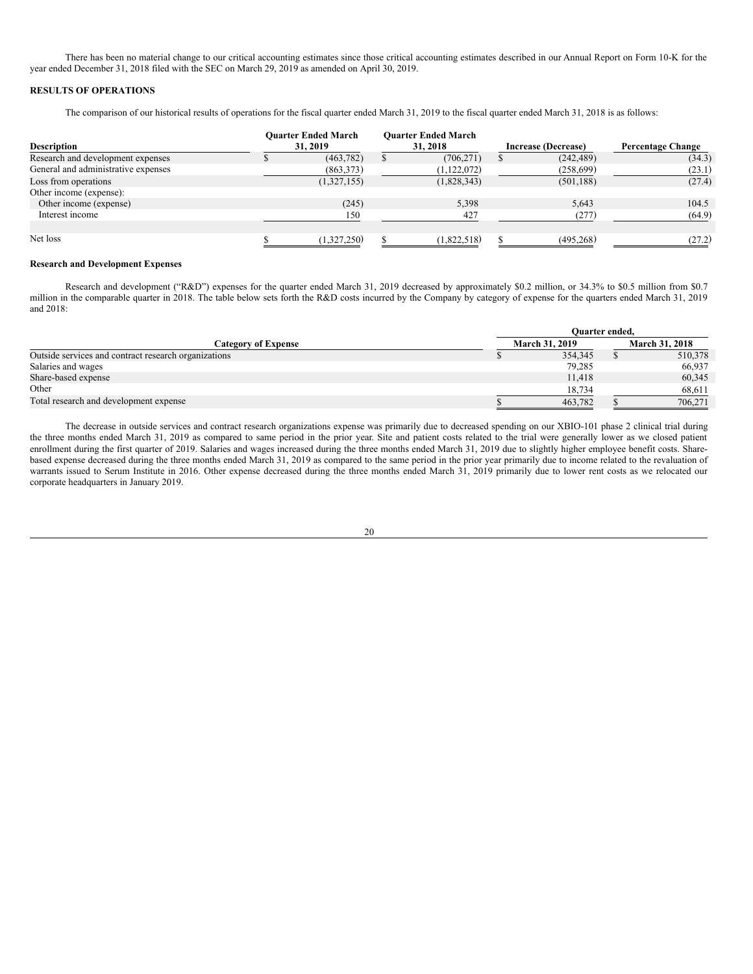There has been no material change to our critical accounting estimates since those critical accounting estimates described in our Annual Report on Form 10-K for the year ended December 31, 2018 filed with the SEC on March 29, 2019 as amended on April 30, 2019.

# **RESULTS OF OPERATIONS**

The comparison of our historical results of operations for the fiscal quarter ended March 31, 2019 to the fiscal quarter ended March 31, 2018 is as follows:

| <b>Description</b>                  | <b>Ouarter Ended March</b><br>31, 2019 |             | <b>Ouarter Ended March</b><br>31, 2018 |               | <b>Increase (Decrease)</b> |            | <b>Percentage Change</b> |  |
|-------------------------------------|----------------------------------------|-------------|----------------------------------------|---------------|----------------------------|------------|--------------------------|--|
| Research and development expenses   |                                        | (463, 782)  |                                        | (706, 271)    |                            | (242, 489) | (34.3)                   |  |
| General and administrative expenses |                                        | (863, 373)  |                                        | (1, 122, 072) |                            | (258, 699) | (23.1)                   |  |
| Loss from operations                |                                        | (1,327,155) |                                        | (1,828,343)   |                            | (501, 188) | (27.4)                   |  |
| Other income (expense):             |                                        |             |                                        |               |                            |            |                          |  |
| Other income (expense)              |                                        | (245)       |                                        | 5,398         |                            | 5,643      | 104.5                    |  |
| Interest income                     |                                        | 150         |                                        | 427           |                            | (277)      | (64.9)                   |  |
| Net loss                            |                                        | (1.327.250) |                                        | (1.822.518)   |                            | (495.268)  | (27.2)                   |  |

# **Research and Development Expenses**

Research and development ("R&D") expenses for the quarter ended March 31, 2019 decreased by approximately \$0.2 million, or 34.3% to \$0.5 million from \$0.7 million in the comparable quarter in 2018. The table below sets forth the R&D costs incurred by the Company by category of expense for the quarters ended March 31, 2019 and 2018:

|                                                      | Ouarter ended. |                       |  |                       |  |
|------------------------------------------------------|----------------|-----------------------|--|-----------------------|--|
| Category of Expense                                  |                | <b>March 31, 2019</b> |  | <b>March 31, 2018</b> |  |
| Outside services and contract research organizations |                | 354,345               |  | 510,378               |  |
| Salaries and wages                                   |                | 79.285                |  | 66.937                |  |
| Share-based expense                                  |                | 11.418                |  | 60,345                |  |
| Other                                                |                | 18.734                |  | 68,611                |  |
| Total research and development expense               |                | 463.782               |  | 706.271               |  |

The decrease in outside services and contract research organizations expense was primarily due to decreased spending on our XBIO-101 phase 2 clinical trial during the three months ended March 31, 2019 as compared to same period in the prior year. Site and patient costs related to the trial were generally lower as we closed patient enrollment during the first quarter of 2019. Salaries and wages increased during the three months ended March 31, 2019 due to slightly higher employee benefit costs. Sharebased expense decreased during the three months ended March 31, 2019 as compared to the same period in the prior year primarily due to income related to the revaluation of warrants issued to Serum Institute in 2016. Other expense decreased during the three months ended March 31, 2019 primarily due to lower rent costs as we relocated our corporate headquarters in January 2019.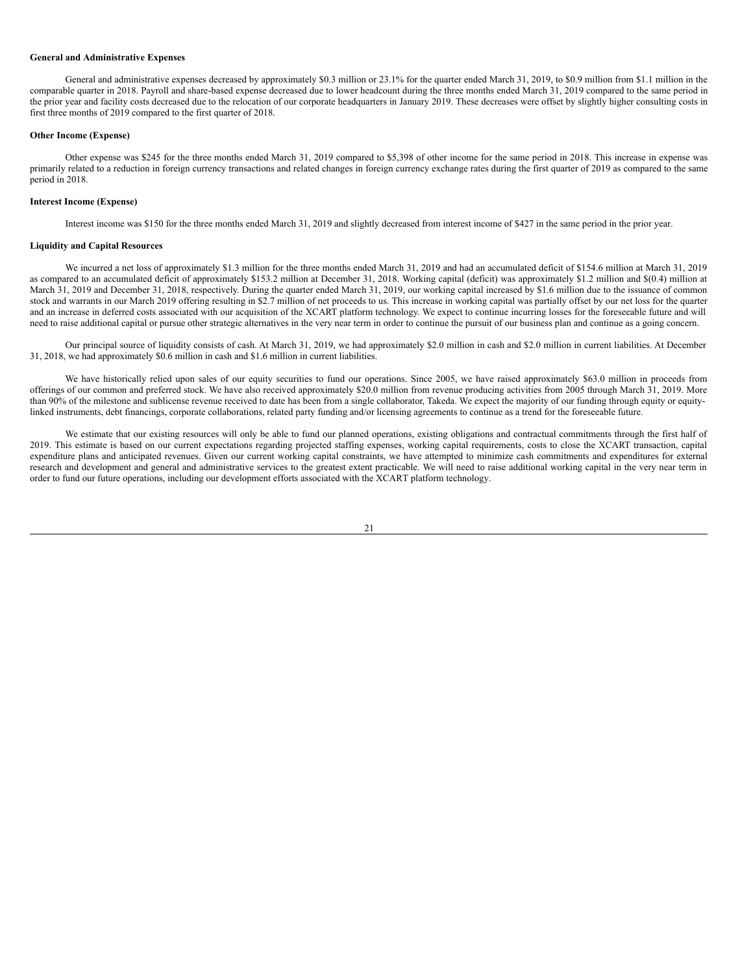### **General and Administrative Expenses**

General and administrative expenses decreased by approximately \$0.3 million or 23.1% for the quarter ended March 31, 2019, to \$0.9 million from \$1.1 million in the comparable quarter in 2018. Payroll and share-based expense decreased due to lower headcount during the three months ended March 31, 2019 compared to the same period in the prior year and facility costs decreased due to the relocation of our corporate headquarters in January 2019. These decreases were offset by slightly higher consulting costs in first three months of 2019 compared to the first quarter of 2018.

### **Other Income (Expense)**

Other expense was \$245 for the three months ended March 31, 2019 compared to \$5,398 of other income for the same period in 2018. This increase in expense was primarily related to a reduction in foreign currency transactions and related changes in foreign currency exchange rates during the first quarter of 2019 as compared to the same period in 2018.

### **Interest Income (Expense)**

Interest income was \$150 for the three months ended March 31, 2019 and slightly decreased from interest income of \$427 in the same period in the prior year.

### **Liquidity and Capital Resources**

We incurred a net loss of approximately \$1.3 million for the three months ended March 31, 2019 and had an accumulated deficit of \$154.6 million at March 31, 2019 as compared to an accumulated deficit of approximately \$153.2 million at December 31, 2018. Working capital (deficit) was approximately \$1.2 million and \$(0.4) million at March 31, 2019 and December 31, 2018, respectively. During the quarter ended March 31, 2019, our working capital increased by \$1.6 million due to the issuance of common stock and warrants in our March 2019 offering resulting in \$2.7 million of net proceeds to us. This increase in working capital was partially offset by our net loss for the quarter and an increase in deferred costs associated with our acquisition of the XCART platform technology. We expect to continue incurring losses for the foreseeable future and will need to raise additional capital or pursue other strategic alternatives in the very near term in order to continue the pursuit of our business plan and continue as a going concern.

Our principal source of liquidity consists of cash. At March 31, 2019, we had approximately \$2.0 million in cash and \$2.0 million in current liabilities. At December 31, 2018, we had approximately \$0.6 million in cash and \$1.6 million in current liabilities.

We have historically relied upon sales of our equity securities to fund our operations. Since 2005, we have raised approximately \$63.0 million in proceeds from offerings of our common and preferred stock. We have also received approximately \$20.0 million from revenue producing activities from 2005 through March 31, 2019. More than 90% of the milestone and sublicense revenue received to date has been from a single collaborator, Takeda. We expect the majority of our funding through equity or equitylinked instruments, debt financings, corporate collaborations, related party funding and/or licensing agreements to continue as a trend for the foreseeable future.

We estimate that our existing resources will only be able to fund our planned operations, existing obligations and contractual commitments through the first half of 2019. This estimate is based on our current expectations regarding projected staffing expenses, working capital requirements, costs to close the XCART transaction, capital expenditure plans and anticipated revenues. Given our current working capital constraints, we have attempted to minimize cash commitments and expenditures for external research and development and general and administrative services to the greatest extent practicable. We will need to raise additional working capital in the very near term in order to fund our future operations, including our development efforts associated with the XCART platform technology.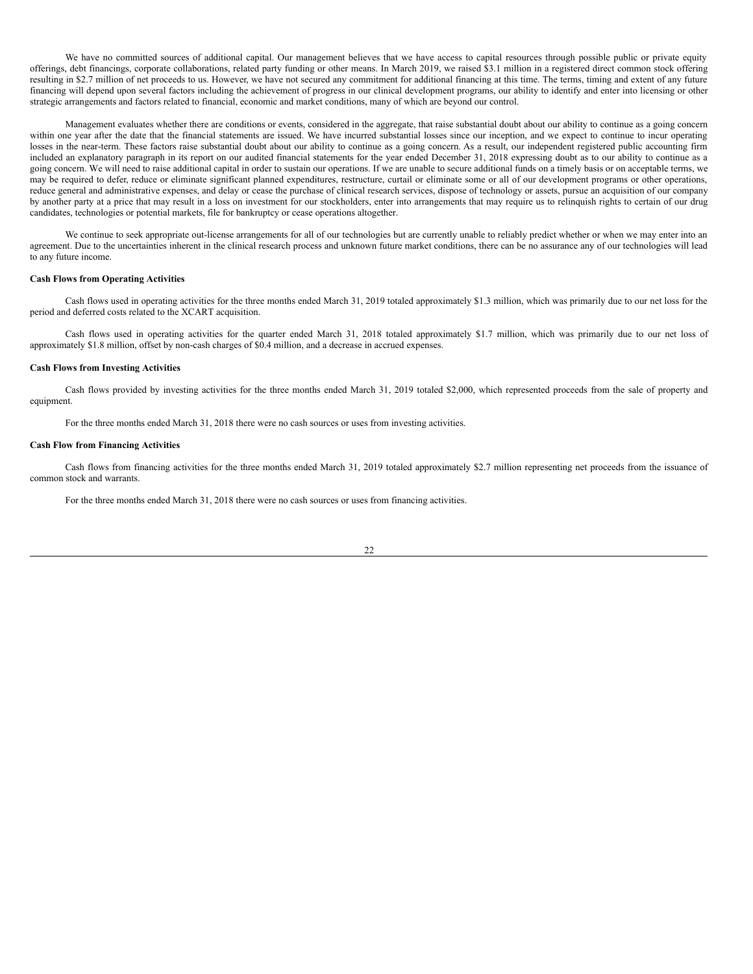We have no committed sources of additional capital. Our management believes that we have access to capital resources through possible public or private equity offerings, debt financings, corporate collaborations, related party funding or other means. In March 2019, we raised \$3.1 million in a registered direct common stock offering resulting in \$2.7 million of net proceeds to us. However, we have not secured any commitment for additional financing at this time. The terms, timing and extent of any future financing will depend upon several factors including the achievement of progress in our clinical development programs, our ability to identify and enter into licensing or other strategic arrangements and factors related to financial, economic and market conditions, many of which are beyond our control.

Management evaluates whether there are conditions or events, considered in the aggregate, that raise substantial doubt about our ability to continue as a going concern within one year after the date that the financial statements are issued. We have incurred substantial losses since our inception, and we expect to continue to incur operating losses in the near-term. These factors raise substantial doubt about our ability to continue as a going concern. As a result, our independent registered public accounting firm included an explanatory paragraph in its report on our audited financial statements for the year ended December 31, 2018 expressing doubt as to our ability to continue as a going concern. We will need to raise additional capital in order to sustain our operations. If we are unable to secure additional funds on a timely basis or on acceptable terms, we may be required to defer, reduce or eliminate significant planned expenditures, restructure, curtail or eliminate some or all of our development programs or other operations, reduce general and administrative expenses, and delay or cease the purchase of clinical research services, dispose of technology or assets, pursue an acquisition of our company by another party at a price that may result in a loss on investment for our stockholders, enter into arrangements that may require us to relinquish rights to certain of our drug candidates, technologies or potential markets, file for bankruptcy or cease operations altogether.

We continue to seek appropriate out-license arrangements for all of our technologies but are currently unable to reliably predict whether or when we may enter into an agreement. Due to the uncertainties inherent in the clinical research process and unknown future market conditions, there can be no assurance any of our technologies will lead to any future income.

# **Cash Flows from Operating Activities**

Cash flows used in operating activities for the three months ended March 31, 2019 totaled approximately \$1.3 million, which was primarily due to our net loss for the period and deferred costs related to the XCART acquisition.

Cash flows used in operating activities for the quarter ended March 31, 2018 totaled approximately \$1.7 million, which was primarily due to our net loss of approximately \$1.8 million, offset by non-cash charges of \$0.4 million, and a decrease in accrued expenses.

# **Cash Flows from Investing Activities**

Cash flows provided by investing activities for the three months ended March 31, 2019 totaled \$2,000, which represented proceeds from the sale of property and equipment.

For the three months ended March 31, 2018 there were no cash sources or uses from investing activities.

# **Cash Flow from Financing Activities**

Cash flows from financing activities for the three months ended March 31, 2019 totaled approximately \$2.7 million representing net proceeds from the issuance of common stock and warrants.

For the three months ended March 31, 2018 there were no cash sources or uses from financing activities.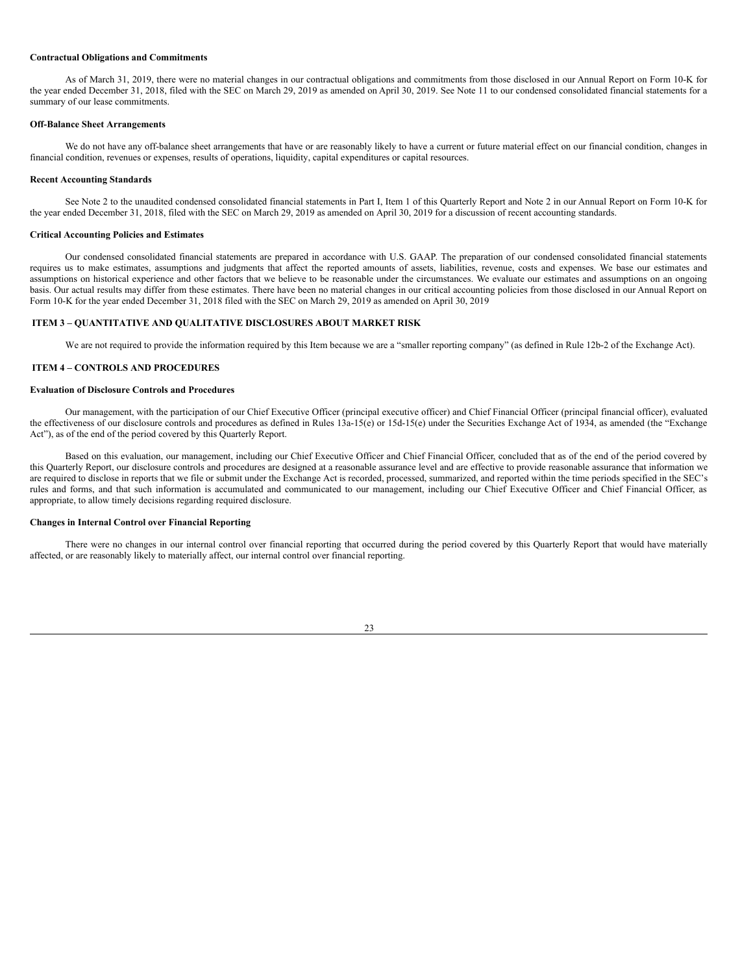#### **Contractual Obligations and Commitments**

As of March 31, 2019, there were no material changes in our contractual obligations and commitments from those disclosed in our Annual Report on Form 10-K for the year ended December 31, 2018, filed with the SEC on March 29, 2019 as amended on April 30, 2019. See Note 11 to our condensed consolidated financial statements for a summary of our lease commitments.

# **Off-Balance Sheet Arrangements**

We do not have any off-balance sheet arrangements that have or are reasonably likely to have a current or future material effect on our financial condition, changes in financial condition, revenues or expenses, results of operations, liquidity, capital expenditures or capital resources.

#### **Recent Accounting Standards**

See Note 2 to the unaudited condensed consolidated financial statements in Part I, Item 1 of this Quarterly Report and Note 2 in our Annual Report on Form 10-K for the year ended December 31, 2018, filed with the SEC on March 29, 2019 as amended on April 30, 2019 for a discussion of recent accounting standards.

# **Critical Accounting Policies and Estimates**

Our condensed consolidated financial statements are prepared in accordance with U.S. GAAP. The preparation of our condensed consolidated financial statements requires us to make estimates, assumptions and judgments that affect the reported amounts of assets, liabilities, revenue, costs and expenses. We base our estimates and assumptions on historical experience and other factors that we believe to be reasonable under the circumstances. We evaluate our estimates and assumptions on an ongoing basis. Our actual results may differ from these estimates. There have been no material changes in our critical accounting policies from those disclosed in our Annual Report on Form 10-K for the year ended December 31, 2018 filed with the SEC on March 29, 2019 as amended on April 30, 2019

# <span id="page-22-0"></span>**ITEM 3 – QUANTITATIVE AND QUALITATIVE DISCLOSURES ABOUT MARKET RISK**

We are not required to provide the information required by this Item because we are a "smaller reporting company" (as defined in Rule 12b-2 of the Exchange Act).

# <span id="page-22-1"></span>**ITEM 4 – CONTROLS AND PROCEDURES**

### **Evaluation of Disclosure Controls and Procedures**

Our management, with the participation of our Chief Executive Officer (principal executive officer) and Chief Financial Officer (principal financial officer), evaluated the effectiveness of our disclosure controls and procedures as defined in Rules 13a-15(e) or 15d-15(e) under the Securities Exchange Act of 1934, as amended (the "Exchange Act"), as of the end of the period covered by this Quarterly Report.

Based on this evaluation, our management, including our Chief Executive Officer and Chief Financial Officer, concluded that as of the end of the period covered by this Quarterly Report, our disclosure controls and procedures are designed at a reasonable assurance level and are effective to provide reasonable assurance that information we are required to disclose in reports that we file or submit under the Exchange Act is recorded, processed, summarized, and reported within the time periods specified in the SEC's rules and forms, and that such information is accumulated and communicated to our management, including our Chief Executive Officer and Chief Financial Officer, as appropriate, to allow timely decisions regarding required disclosure.

# **Changes in Internal Control over Financial Reporting**

There were no changes in our internal control over financial reporting that occurred during the period covered by this Quarterly Report that would have materially affected, or are reasonably likely to materially affect, our internal control over financial reporting.

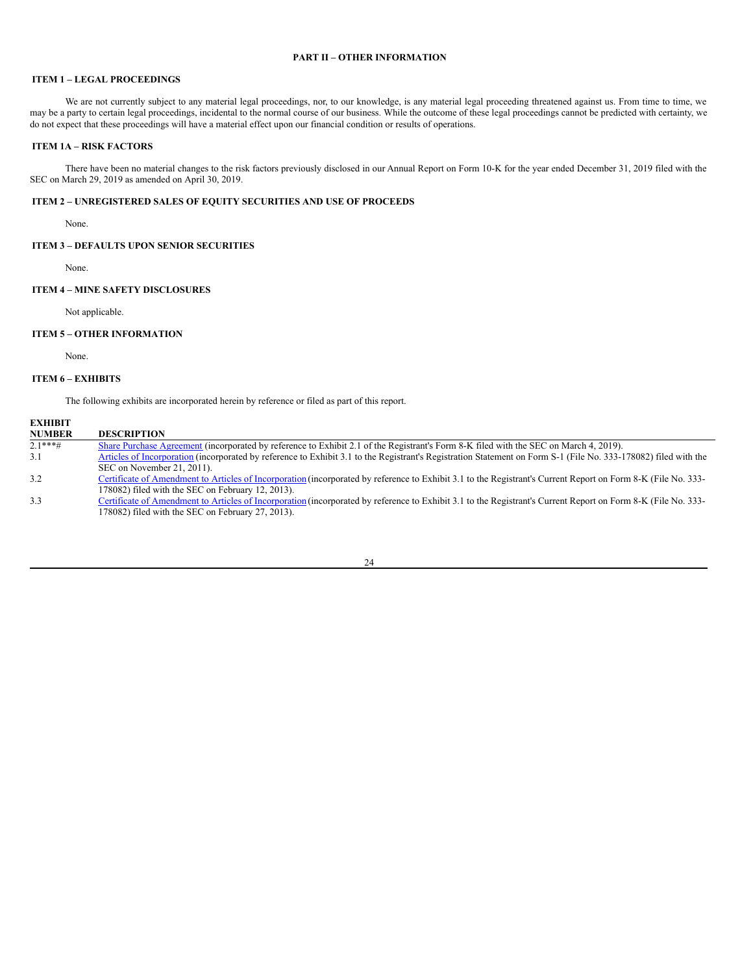# <span id="page-23-0"></span>**PART II – OTHER INFORMATION**

# <span id="page-23-1"></span>**ITEM 1 – LEGAL PROCEEDINGS**

We are not currently subject to any material legal proceedings, nor, to our knowledge, is any material legal proceeding threatened against us. From time to time, we may be a party to certain legal proceedings, incidental to the normal course of our business. While the outcome of these legal proceedings cannot be predicted with certainty, we do not expect that these proceedings will have a material effect upon our financial condition or results of operations.

# <span id="page-23-2"></span>**ITEM 1A – RISK FACTORS**

There have been no material changes to the risk factors previously disclosed in our Annual Report on Form 10-K for the year ended December 31, 2019 filed with the SEC on March 29, 2019 as amended on April 30, 2019.

# <span id="page-23-3"></span>**ITEM 2 – UNREGISTERED SALES OF EQUITY SECURITIES AND USE OF PROCEEDS**

None.

# <span id="page-23-4"></span>**ITEM 3 – DEFAULTS UPON SENIOR SECURITIES**

None.

# <span id="page-23-5"></span>**ITEM 4 – MINE SAFETY DISCLOSURES**

Not applicable.

# <span id="page-23-6"></span>**ITEM 5 – OTHER INFORMATION**

None.

# <span id="page-23-7"></span>**ITEM 6 – EXHIBITS**

The following exhibits are incorporated herein by reference or filed as part of this report.

| <b>EXHIBIT</b> |                                                                                                                                                                 |
|----------------|-----------------------------------------------------------------------------------------------------------------------------------------------------------------|
| <b>NUMBER</b>  | <b>DESCRIPTION</b>                                                                                                                                              |
| $2.1***$ #     | Share Purchase Agreement (incorporated by reference to Exhibit 2.1 of the Registrant's Form 8-K filed with the SEC on March 4, 2019).                           |
| 3.1            | Articles of Incorporation (incorporated by reference to Exhibit 3.1 to the Registrant's Registration Statement on Form S-1 (File No. 333-178082) filed with the |
|                | SEC on November 21, 2011).                                                                                                                                      |
| 3.2            | Certificate of Amendment to Articles of Incorporation (incorporated by reference to Exhibit 3.1 to the Registrant's Current Report on Form 8-K (File No. 333-   |
|                | 178082) filed with the SEC on February 12, 2013).                                                                                                               |
| 3.3            | Certificate of Amendment to Articles of Incorporation (incorporated by reference to Exhibit 3.1 to the Registrant's Current Report on Form 8-K (File No. 333-   |
|                | 178082) filed with the SEC on February 27, 2013).                                                                                                               |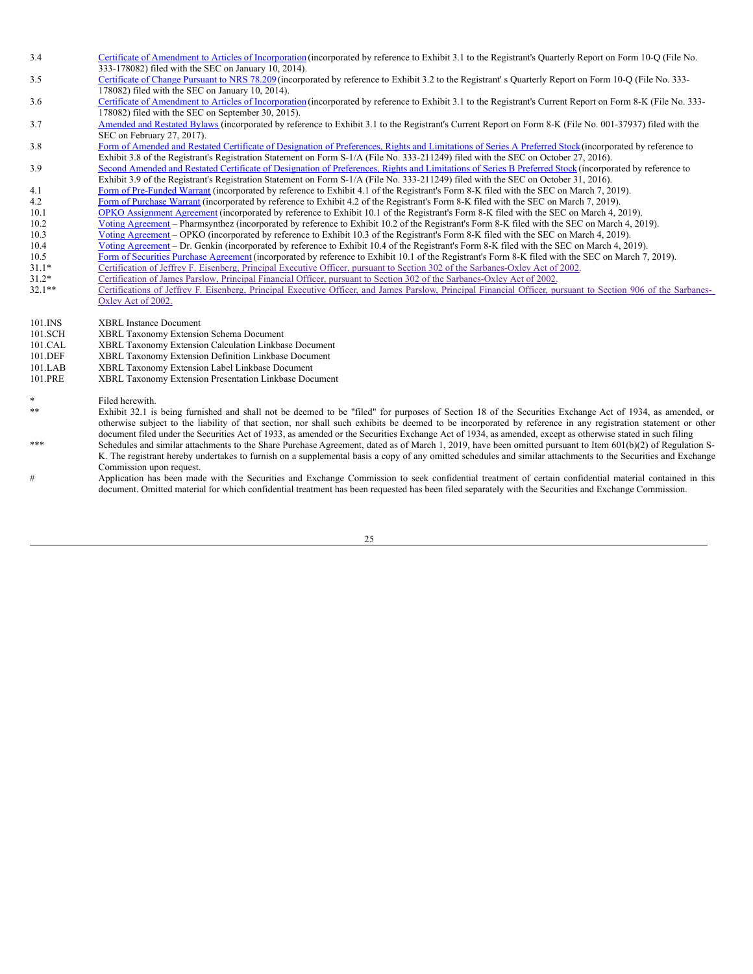- 3.4 Certificate of Amendment to Articles of [Incorporation](http://www.sec.gov/Archives/edgar/data/1534525/000150416714000015/ex3_2.htm) (incorporated by reference to Exhibit 3.1 to the Registrant's Quarterly Report on Form 10-Q (File No. 333-178082) filed with the SEC on January 10, 2014).
- 3.5 [Certificate](http://www.sec.gov/Archives/edgar/data/1534525/000150416714000015/ex3_2.htm) of Change Pursuant to NRS 78.209 (incorporated by reference to Exhibit 3.2 to the Registrant' s Quarterly Report on Form 10-Q (File No. 333-178082) filed with the SEC on January 10, 2014).
- 3.6 Certificate of Amendment to Articles of [Incorporation](http://www.sec.gov/Archives/edgar/data/1534525/000164748815000123/ex3_1.htm) (incorporated by reference to Exhibit 3.1 to the Registrant's Current Report on Form 8-K (File No. 333-178082) filed with the SEC on September 30, 2015).
- 3.7 [Amended](http://www.sec.gov/Archives/edgar/data/1534525/000166225217000027/ex3_1.htm) and Restated Bylaws (incorporated by reference to Exhibit 3.1 to the Registrant's Current Report on Form 8-K (File No. 001-37937) filed with the SEC on February 27, 2017).
- 3.8 Form of Amended and Restated Certificate of Designation of [Preferences,](http://www.sec.gov/Archives/edgar/data/1534525/000168316816000384/xenetic_s1a-ex0308.htm) Rights and Limitations of Series A Preferred Stock(incorporated by reference to Exhibit 3.8 of the Registrant's Registration Statement on Form S-1/A (File No. 333-211249) filed with the SEC on October 27, 2016).
- 3.9 Second Amended and Restated Certificate of Designation of [Preferences,](http://www.sec.gov/Archives/edgar/data/1534525/000168316816000421/xenetic_s1a-ex0309.htm) Rights and Limitations of Series B Preferred Stock (incorporated by reference to Exhibit 3.9 of the Registrant's Registration Statement on Form S-1/A (File No. 333-211249) filed with the SEC on October 31, 2016).
- 4.1 Form of [Pre-Funded](http://www.sec.gov/Archives/edgar/data/1534525/000168316819000576/xenetic_8k-ex0401.htm) Warrant (incorporated by reference to Exhibit 4.1 of the Registrant's Form 8-K filed with the SEC on March 7, 2019).<br>4.2 Form of Purchase Warrant (incorporated by reference to Exhibit 4.2 of the Regi
- Form of [Purchase](http://www.sec.gov/Archives/edgar/data/1534525/000168316819000576/xenetic_8k-ex0402.htm) Warrant (incorporated by reference to Exhibit 4.2 of the Registrant's Form 8-K filed with the SEC on March 7, 2019).
- 10.1 OPKO [Assignment](http://www.sec.gov/Archives/edgar/data/1534525/000168316819000534/xenetic_ex1001.htm) Agreement (incorporated by reference to Exhibit 10.1 of the Registrant's Form 8-K filed with the SEC on March 4, 2019).<br>10.2 Voting Agreement Pharmsynthez (incorporated by reference to Exhibit 10.2 o
- 10.2 Voting [Agreement](http://www.sec.gov/Archives/edgar/data/1534525/000168316819000534/xenetic_ex1002.htm) Pharmsynthez (incorporated by reference to Exhibit 10.2 of the Registrant's Form 8-K filed with the SEC on March 4, 2019).<br>
Voting Agreement OPKO (incorporated by reference to Exhibit 10.3 of the
- 10.3 Voting [Agreement](http://www.sec.gov/Archives/edgar/data/1534525/000168316819000535/xenetic_ex1003.htm) OPKO (incorporated by reference to Exhibit 10.3 of the Registrant's Form 8-K filed with the SEC on March 4, 2019).
- 10.4 Voting [Agreement](http://www.sec.gov/Archives/edgar/data/1534525/000168316819000535/xenetic_ex1004.htm) Dr. Genkin (incorporated by reference to Exhibit 10.4 of the Registrant's Form 8-K filed with the SEC on March 4, 2019).<br>10.5 Form of Securities Purchase Agreement (incorporated by reference to Exhi
- 10.5 Form of Securities Purchase [Agreement](http://www.sec.gov/Archives/edgar/data/1534525/000168316819000576/xenetic_8k-ex1001.htm) (incorporated by reference to Exhibit 10.1 of the Registrant's Form 8-K filed with the SEC on March 7, 2019).
- 31.1\* Certification of Jeffrey F. Eisenberg, Principal Executive Officer, pursuant to Section 302 of the [Sarbanes-Oxley](#page-26-0) Act of 2002.<br>31.2\* Certification of James Parslow, Principal Financial Officer, pursuant to Section 30
- 31.2\* Certification of James Parslow, Principal Financial Officer, pursuant to Section 302 of the [Sarbanes-Oxley](#page-27-0) Act of 2002.<br>32.1\*\* Certifications of Jeffrey F. Eisenberg, Principal Executive Officer, and James Parslow, P [Certifications](#page-28-0) of Jeffrey F. Eisenberg, Principal Executive Officer, and James Parslow, Principal Financial Officer, pursuant to Section 906 of the Sarbanes-Oxley Act of 2002.
- 101.INS XBRL Instance Document<br>101.SCH XBRL Taxonomy Extensio
- 101.SCH XBRL Taxonomy Extension Schema Document<br>101.CAL XBRL Taxonomy Extension Calculation Linkbas
- 101.CAL XBRL Taxonomy Extension Calculation Linkbase Document<br>101.DEF XBRL Taxonomy Extension Definition Linkbase Document
- 101.DEF XBRL Taxonomy Extension Definition Linkbase Document<br>101.LAB XBRL Taxonomy Extension Label Linkbase Document
- 101.LAB XBRL Taxonomy Extension Label Linkbase Document<br>101.PRE XBRL Taxonomy Extension Presentation Linkbase Doc
- XBRL Taxonomy Extension Presentation Linkbase Document
- \* Filed herewith.
- Exhibit 32.1 is being furnished and shall not be deemed to be "filed" for purposes of Section 18 of the Securities Exchange Act of 1934, as amended, or otherwise subject to the liability of that section, nor shall such exhibits be deemed to be incorporated by reference in any registration statement or other document filed under the Securities Act of 1933, as amended or the Securities Exchange Act of 1934, as amended, except as otherwise stated in such filing \*\*\* Schedules and similar attachments to the Share Purchase Agreement, dated as of March 1, 2019, have been omitted pursuant to Item 601(b)(2) of Regulation S-
- K. The registrant hereby undertakes to furnish on a supplemental basis a copy of any omitted schedules and similar attachments to the Securities and Exchange Commission upon request.
- # Application has been made with the Securities and Exchange Commission to seek confidential treatment of certain confidential material contained in this document. Omitted material for which confidential treatment has been requested has been filed separately with the Securities and Exchange Commission.

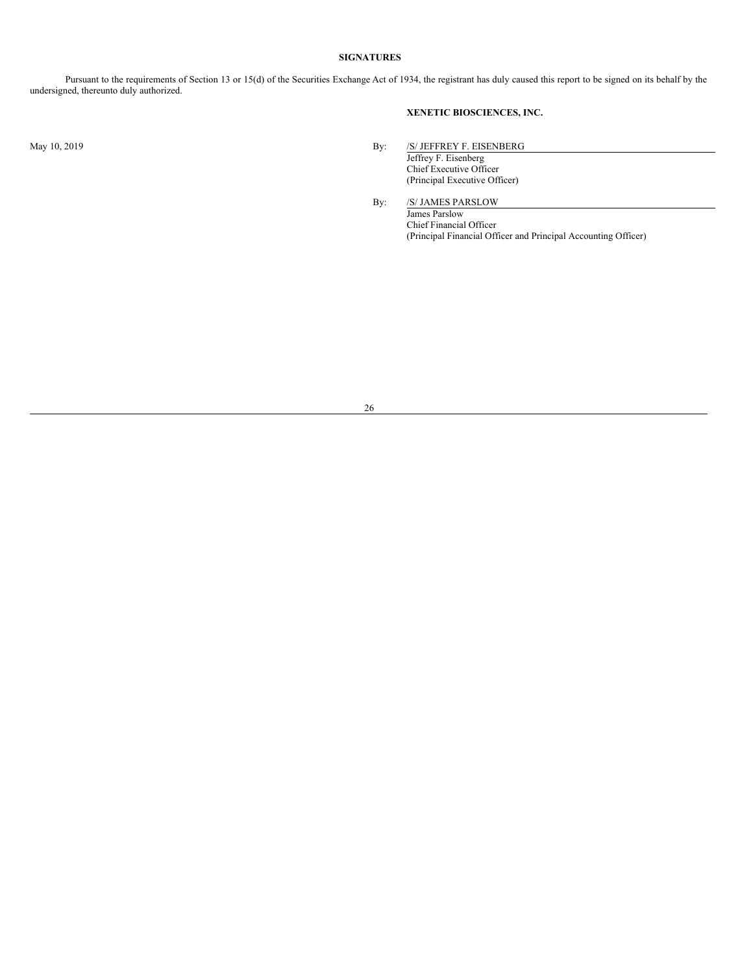# <span id="page-25-0"></span>**SIGNATURES**

Pursuant to the requirements of Section 13 or 15(d) of the Securities Exchange Act of 1934, the registrant has duly caused this report to be signed on its behalf by the undersigned, thereunto duly authorized.

# **XENETIC BIOSCIENCES, INC.**

May 10, 2019 By: /S/ JEFFREY F. EISENBERG Jeffrey F. Eisenberg Chief Executive Officer

(Principal Executive Officer)

By: /S/ JAMES PARSLOW

James Parslow Chief Financial Officer (Principal Financial Officer and Principal Accounting Officer)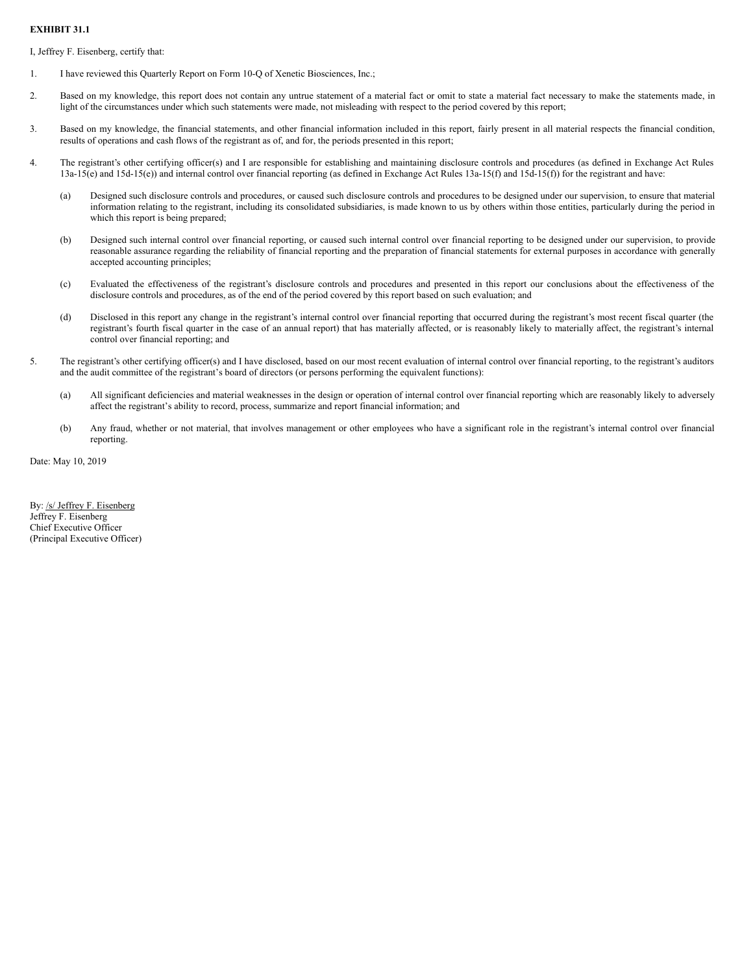# <span id="page-26-0"></span>**EXHIBIT 31.1**

I, Jeffrey F. Eisenberg, certify that:

- 1. I have reviewed this Quarterly Report on Form 10-Q of Xenetic Biosciences, Inc.;
- 2. Based on my knowledge, this report does not contain any untrue statement of a material fact or omit to state a material fact necessary to make the statements made, in light of the circumstances under which such statements were made, not misleading with respect to the period covered by this report;
- 3. Based on my knowledge, the financial statements, and other financial information included in this report, fairly present in all material respects the financial condition, results of operations and cash flows of the registrant as of, and for, the periods presented in this report;
- 4. The registrant's other certifying officer(s) and I are responsible for establishing and maintaining disclosure controls and procedures (as defined in Exchange Act Rules 13a-15(e) and 15d-15(e)) and internal control over financial reporting (as defined in Exchange Act Rules 13a-15(f) and 15d-15(f)) for the registrant and have:
	- (a) Designed such disclosure controls and procedures, or caused such disclosure controls and procedures to be designed under our supervision, to ensure that material information relating to the registrant, including its consolidated subsidiaries, is made known to us by others within those entities, particularly during the period in which this report is being prepared;
	- (b) Designed such internal control over financial reporting, or caused such internal control over financial reporting to be designed under our supervision, to provide reasonable assurance regarding the reliability of financial reporting and the preparation of financial statements for external purposes in accordance with generally accepted accounting principles;
	- (c) Evaluated the effectiveness of the registrant's disclosure controls and procedures and presented in this report our conclusions about the effectiveness of the disclosure controls and procedures, as of the end of the period covered by this report based on such evaluation; and
	- (d) Disclosed in this report any change in the registrant's internal control over financial reporting that occurred during the registrant's most recent fiscal quarter (the registrant's fourth fiscal quarter in the case of an annual report) that has materially affected, or is reasonably likely to materially affect, the registrant's internal control over financial reporting; and
- 5. The registrant's other certifying officer(s) and I have disclosed, based on our most recent evaluation of internal control over financial reporting, to the registrant's auditors and the audit committee of the registrant's board of directors (or persons performing the equivalent functions):
	- (a) All significant deficiencies and material weaknesses in the design or operation of internal control over financial reporting which are reasonably likely to adversely affect the registrant's ability to record, process, summarize and report financial information; and
	- (b) Any fraud, whether or not material, that involves management or other employees who have a significant role in the registrant's internal control over financial reporting.

Date: May 10, 2019

By: /s/ Jeffrey F. Eisenberg Jeffrey F. Eisenberg Chief Executive Officer (Principal Executive Officer)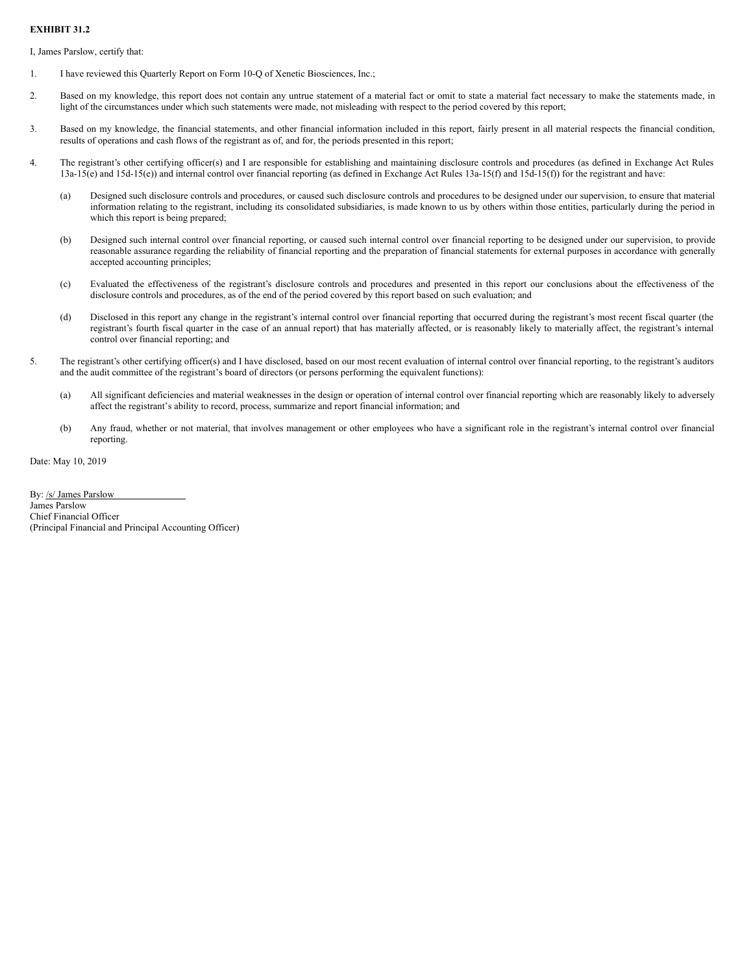# <span id="page-27-0"></span>**EXHIBIT 31.2**

I, James Parslow, certify that:

- 1. I have reviewed this Quarterly Report on Form 10-Q of Xenetic Biosciences, Inc.;
- 2. Based on my knowledge, this report does not contain any untrue statement of a material fact or omit to state a material fact necessary to make the statements made, in light of the circumstances under which such statements were made, not misleading with respect to the period covered by this report;
- 3. Based on my knowledge, the financial statements, and other financial information included in this report, fairly present in all material respects the financial condition, results of operations and cash flows of the registrant as of, and for, the periods presented in this report;
- 4. The registrant's other certifying officer(s) and I are responsible for establishing and maintaining disclosure controls and procedures (as defined in Exchange Act Rules 13a-15(e) and 15d-15(e)) and internal control over financial reporting (as defined in Exchange Act Rules 13a-15(f) and 15d-15(f)) for the registrant and have:
	- (a) Designed such disclosure controls and procedures, or caused such disclosure controls and procedures to be designed under our supervision, to ensure that material information relating to the registrant, including its consolidated subsidiaries, is made known to us by others within those entities, particularly during the period in which this report is being prepared;
	- (b) Designed such internal control over financial reporting, or caused such internal control over financial reporting to be designed under our supervision, to provide reasonable assurance regarding the reliability of financial reporting and the preparation of financial statements for external purposes in accordance with generally accepted accounting principles;
	- (c) Evaluated the effectiveness of the registrant's disclosure controls and procedures and presented in this report our conclusions about the effectiveness of the disclosure controls and procedures, as of the end of the period covered by this report based on such evaluation; and
	- (d) Disclosed in this report any change in the registrant's internal control over financial reporting that occurred during the registrant's most recent fiscal quarter (the registrant's fourth fiscal quarter in the case of an annual report) that has materially affected, or is reasonably likely to materially affect, the registrant's internal control over financial reporting; and
- 5. The registrant's other certifying officer(s) and I have disclosed, based on our most recent evaluation of internal control over financial reporting, to the registrant's auditors and the audit committee of the registrant's board of directors (or persons performing the equivalent functions):
	- (a) All significant deficiencies and material weaknesses in the design or operation of internal control over financial reporting which are reasonably likely to adversely affect the registrant's ability to record, process, summarize and report financial information; and
	- (b) Any fraud, whether or not material, that involves management or other employees who have a significant role in the registrant's internal control over financial reporting.

Date: May 10, 2019

By: /s/ James Parslow James Parslow Chief Financial Officer (Principal Financial and Principal Accounting Officer)